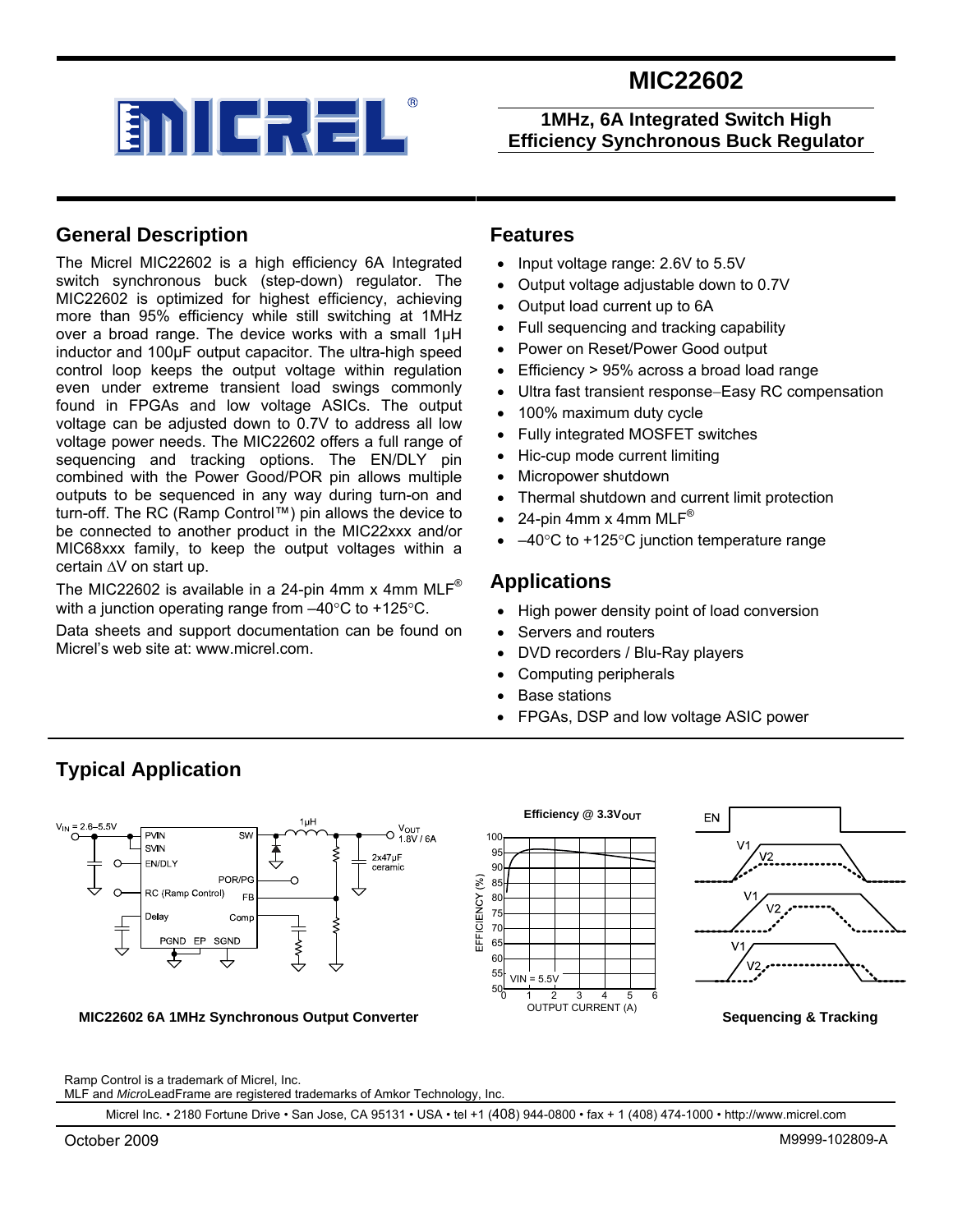



### **1MHz, 6A Integrated Switch High Efficiency Synchronous Buck Regulator**

### **General Description**

The Micrel MIC22602 is a high efficiency 6A Integrated switch synchronous buck (step-down) regulator. The MIC22602 is optimized for highest efficiency, achieving more than 95% efficiency while still switching at 1MHz over a broad range. The device works with a small 1µH inductor and 100µF output capacitor. The ultra-high speed control loop keeps the output voltage within regulation even under extreme transient load swings commonly found in FPGAs and low voltage ASICs. The output voltage can be adjusted down to 0.7V to address all low voltage power needs. The MIC22602 offers a full range of sequencing and tracking options. The EN/DLY pin combined with the Power Good/POR pin allows multiple outputs to be sequenced in any way during turn-on and turn-off. The RC (Ramp Control™) pin allows the device to be connected to another product in the MIC22xxx and/or MIC68xxx family, to keep the output voltages within a certain ∆V on start up.

The MIC22602 is available in a 24-pin 4mm x 4mm MLF<sup>®</sup> with a junction operating range from –40°C to +125°C.

Data sheets and support documentation can be found on Micrel's web site at: www.micrel.com.

#### **Features**

- Input voltage range: 2.6V to 5.5V
- Output voltage adjustable down to 0.7V
- Output load current up to 6A
- Full sequencing and tracking capability
- Power on Reset/Power Good output
- Efficiency > 95% across a broad load range
- Ultra fast transient response−Easy RC compensation
- 100% maximum duty cycle
- Fully integrated MOSFET switches
- Hic-cup mode current limiting
- Micropower shutdown
- Thermal shutdown and current limit protection
- 24-pin 4mm  $x$  4mm MLF®
- $-40^{\circ}$ C to +125 $^{\circ}$ C junction temperature range

### **Applications**

- High power density point of load conversion
- Servers and routers
- DVD recorders / Blu-Ray players
- Computing peripherals
- Base stations
- FPGAs, DSP and low voltage ASIC power



#### **MIC22602 6A 1MHz Synchronous Output Converter**





**Sequencing & Tracking** 

Ramp Control is a trademark of Micrel, Inc.

**Typical Application** 

MLF and *Micro*LeadFrame are registered trademarks of Amkor Technology, Inc.

Micrel Inc. • 2180 Fortune Drive • San Jose, CA 95131 • USA • tel +1 (408) 944-0800 • fax + 1 (408) 474-1000 • http://www.micrel.com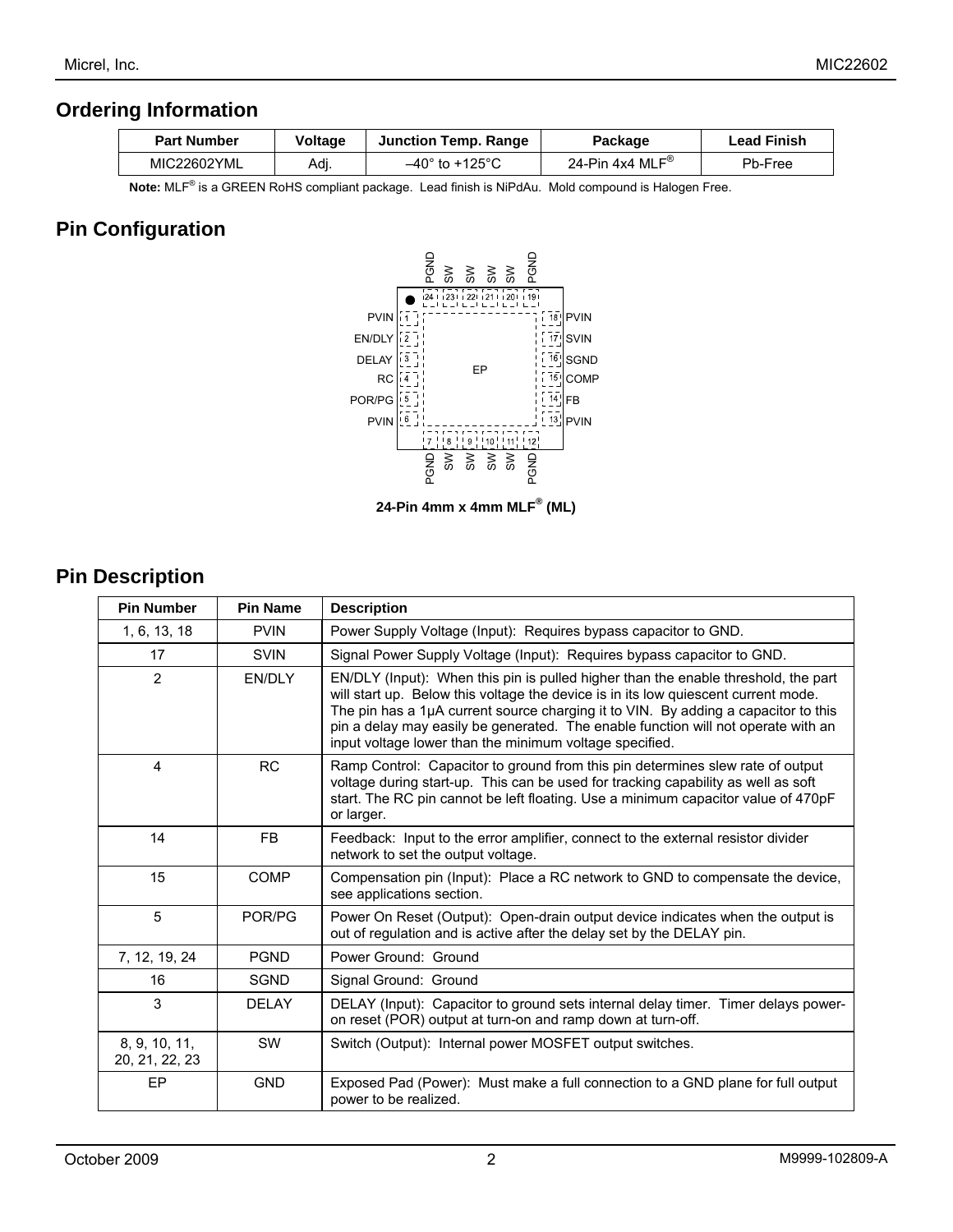### **Ordering Information**

| <b>Part Number</b> | <b>Voltage</b> | Junction Temp. Range               | Packaqe                       | <b>Lead Finish</b> |
|--------------------|----------------|------------------------------------|-------------------------------|--------------------|
| MIC22602YML        | Adi.           | $-40^{\circ}$ to +125 $^{\circ}$ C | 24-Pin 4x4 MLF $^{\circledR}$ | Pb-Free            |

 **Note:** MLF® is a GREEN RoHS compliant package. Lead finish is NiPdAu. Mold compound is Halogen Free.

## **Pin Configuration**



**24-Pin 4mm x 4mm MLF® (ML)** 

## **Pin Description**

| <b>Pin Number</b>               | <b>Pin Name</b> | <b>Description</b>                                                                                                                                                                                                                                                                                                                                                                                             |
|---------------------------------|-----------------|----------------------------------------------------------------------------------------------------------------------------------------------------------------------------------------------------------------------------------------------------------------------------------------------------------------------------------------------------------------------------------------------------------------|
| 1, 6, 13, 18                    | <b>PVIN</b>     | Power Supply Voltage (Input): Requires bypass capacitor to GND.                                                                                                                                                                                                                                                                                                                                                |
| 17                              | <b>SVIN</b>     | Signal Power Supply Voltage (Input): Requires bypass capacitor to GND.                                                                                                                                                                                                                                                                                                                                         |
| 2                               | EN/DLY          | EN/DLY (Input): When this pin is pulled higher than the enable threshold, the part<br>will start up. Below this voltage the device is in its low quiescent current mode.<br>The pin has a 1µA current source charging it to VIN. By adding a capacitor to this<br>pin a delay may easily be generated. The enable function will not operate with an<br>input voltage lower than the minimum voltage specified. |
| 4                               | <b>RC</b>       | Ramp Control: Capacitor to ground from this pin determines slew rate of output<br>voltage during start-up. This can be used for tracking capability as well as soft<br>start. The RC pin cannot be left floating. Use a minimum capacitor value of 470pF<br>or larger.                                                                                                                                         |
| 14                              | <b>FB</b>       | Feedback: Input to the error amplifier, connect to the external resistor divider<br>network to set the output voltage.                                                                                                                                                                                                                                                                                         |
| 15                              | <b>COMP</b>     | Compensation pin (Input): Place a RC network to GND to compensate the device,<br>see applications section.                                                                                                                                                                                                                                                                                                     |
| 5                               | POR/PG          | Power On Reset (Output): Open-drain output device indicates when the output is<br>out of regulation and is active after the delay set by the DELAY pin.                                                                                                                                                                                                                                                        |
| 7, 12, 19, 24                   | <b>PGND</b>     | Power Ground: Ground                                                                                                                                                                                                                                                                                                                                                                                           |
| 16                              | <b>SGND</b>     | Signal Ground: Ground                                                                                                                                                                                                                                                                                                                                                                                          |
| 3                               | <b>DELAY</b>    | DELAY (Input): Capacitor to ground sets internal delay timer. Timer delays power-<br>on reset (POR) output at turn-on and ramp down at turn-off.                                                                                                                                                                                                                                                               |
| 8, 9, 10, 11,<br>20, 21, 22, 23 | <b>SW</b>       | Switch (Output): Internal power MOSFET output switches.                                                                                                                                                                                                                                                                                                                                                        |
| EP                              | <b>GND</b>      | Exposed Pad (Power): Must make a full connection to a GND plane for full output<br>power to be realized.                                                                                                                                                                                                                                                                                                       |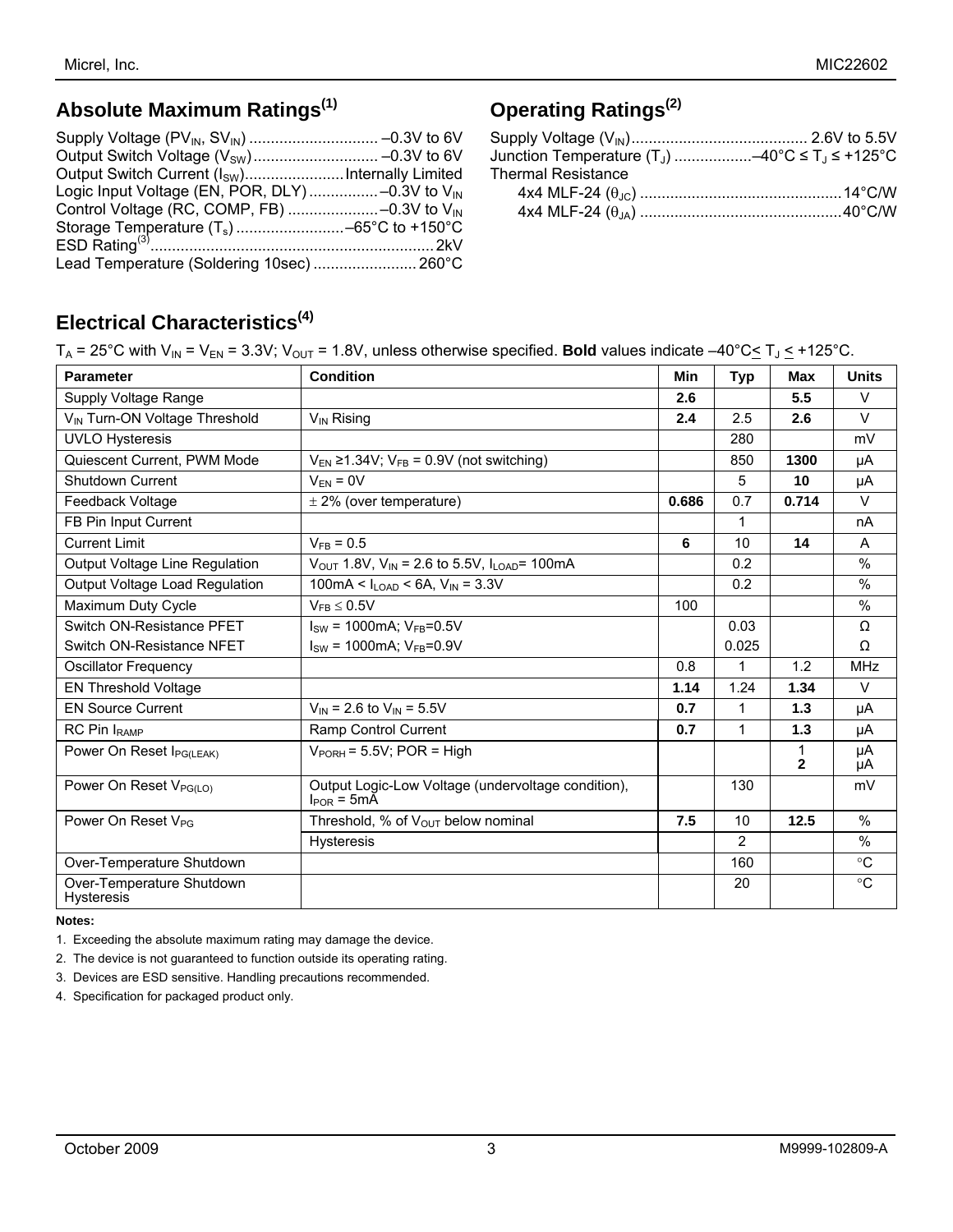# **Absolute Maximum Ratings(1)**

| Output Switch Current (I <sub>SW</sub> ) Internally Limited |
|-------------------------------------------------------------|
| Logic Input Voltage (EN, POR, DLY)-0.3V to $V_{IN}$         |
|                                                             |
|                                                             |
|                                                             |
| Lead Temperature (Soldering 10sec)  260°C                   |
|                                                             |

# **Operating Ratings(2)**

| <b>Thermal Resistance</b> |  |
|---------------------------|--|
|                           |  |
|                           |  |

# **Electrical Characteristics(4)**

| <b>Parameter</b>                          | <b>Condition</b>                                                      | <b>Min</b> | <b>Typ</b>     | <b>Max</b>     | <b>Units</b>    |
|-------------------------------------------|-----------------------------------------------------------------------|------------|----------------|----------------|-----------------|
| Supply Voltage Range                      |                                                                       | 2.6        |                | 5.5            | $\vee$          |
| V <sub>IN</sub> Turn-ON Voltage Threshold | $V_{IN}$ Rising                                                       | 2.4        | 2.5            | 2.6            | $\vee$          |
| <b>UVLO Hysteresis</b>                    |                                                                       |            | 280            |                | mV              |
| Quiescent Current, PWM Mode               | $V_{EN} \ge 1.34V$ ; $V_{FB} = 0.9V$ (not switching)                  |            | 850            | 1300           | μA              |
| Shutdown Current                          | $V_{FN} = 0V$                                                         |            | 5              | 10             | μA              |
| Feedback Voltage                          | $\pm$ 2% (over temperature)                                           | 0.686      | 0.7            | 0.714          | $\vee$          |
| FB Pin Input Current                      |                                                                       |            | 1              |                | nA              |
| <b>Current Limit</b>                      | $V_{FB} = 0.5$                                                        | 6          | 10             | 14             | A               |
| Output Voltage Line Regulation            | $V_{OUT}$ 1.8V, $V_{IN}$ = 2.6 to 5.5V, $I_{LOAD}$ = 100mA            |            | 0.2            |                | $\frac{0}{0}$   |
| Output Voltage Load Regulation            | 100mA < $I_{LOAD}$ < 6A, $V_{IN}$ = 3.3V                              |            | 0.2            |                | $\frac{0}{0}$   |
| Maximum Duty Cycle                        | $V_{FB} \leq 0.5V$                                                    | 100        |                |                | $\frac{0}{0}$   |
| Switch ON-Resistance PFET                 | $I_{SW}$ = 1000mA; $V_{FB}$ =0.5V                                     |            | 0.03           |                | Ω               |
| Switch ON-Resistance NFET                 | $I_{SW}$ = 1000mA; $V_{FB}$ =0.9V                                     |            | 0.025          |                | Ω               |
| <b>Oscillator Frequency</b>               |                                                                       | 0.8        | 1              | 1.2            | <b>MHz</b>      |
| <b>EN Threshold Voltage</b>               |                                                                       | 1.14       | 1.24           | 1.34           | $\vee$          |
| <b>EN Source Current</b>                  | $V_{IN}$ = 2.6 to $V_{IN}$ = 5.5V                                     | 0.7        | 1              | 1.3            | μA              |
| RC Pin I <sub>RAMP</sub>                  | Ramp Control Current                                                  | 0.7        | 1              | 1.3            | μA              |
| Power On Reset I <sub>PG(LEAK)</sub>      | $V_{PORH}$ = 5.5V; POR = High                                         |            |                | $\overline{2}$ | μA<br>μA        |
| Power On Reset V <sub>PG(LO)</sub>        | Output Logic-Low Voltage (undervoltage condition),<br>$I_{POR} = 5mA$ |            | 130            |                | mV              |
| Power On Reset V <sub>PG</sub>            | Threshold, % of $V_{\text{OUT}}$ below nominal                        | 7.5        | 10             | 12.5           | $\frac{0}{0}$   |
|                                           | <b>Hysteresis</b>                                                     |            | $\overline{2}$ |                | $\%$            |
| Over-Temperature Shutdown                 |                                                                       |            | 160            |                | $\rm ^{\circ}C$ |
| Over-Temperature Shutdown<br>Hysteresis   |                                                                       |            | 20             |                | $^{\circ}C$     |

#### **Notes:**

1. Exceeding the absolute maximum rating may damage the device.

2. The device is not guaranteed to function outside its operating rating.

3. Devices are ESD sensitive. Handling precautions recommended.

4. Specification for packaged product only.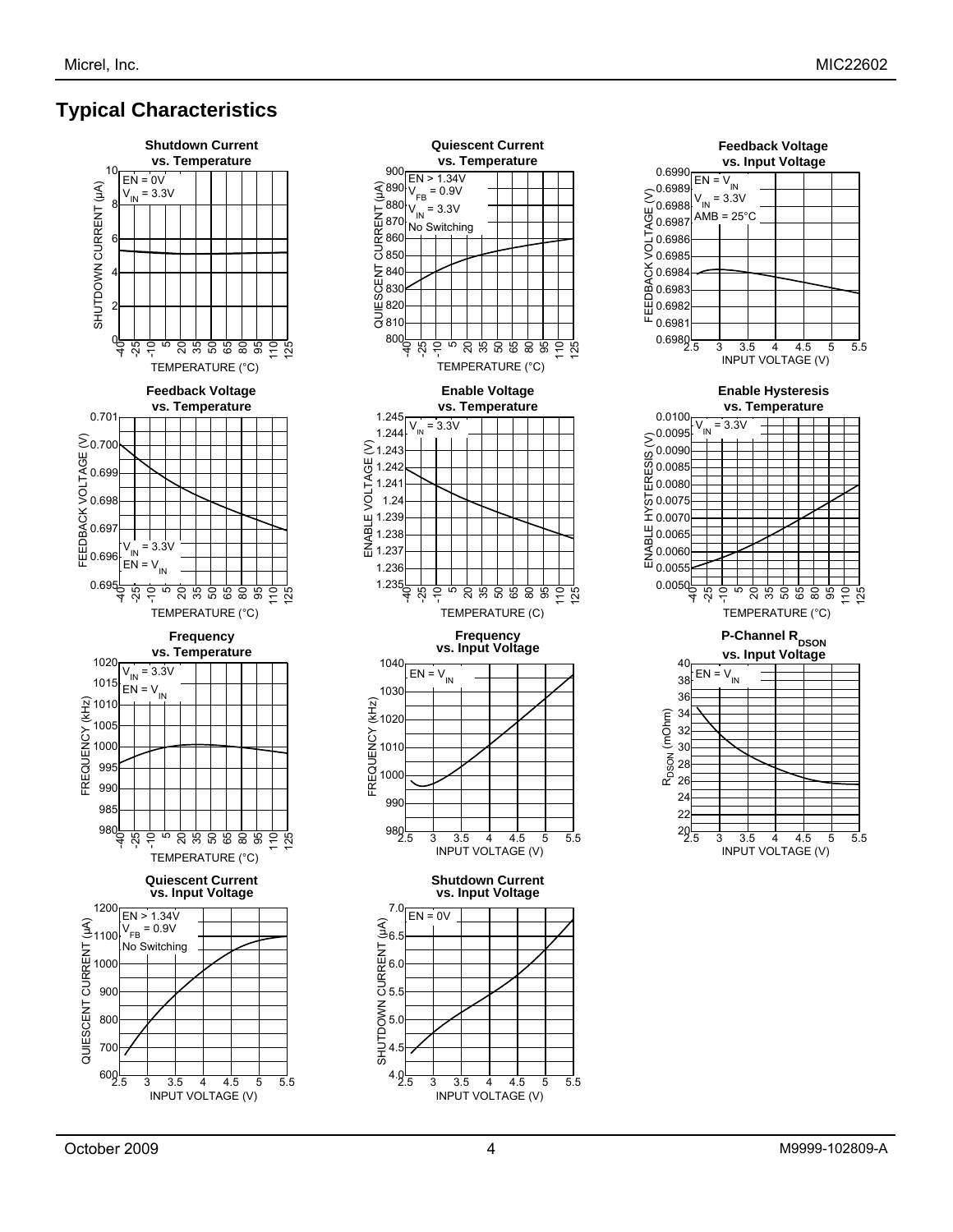## **Typical Characteristics**





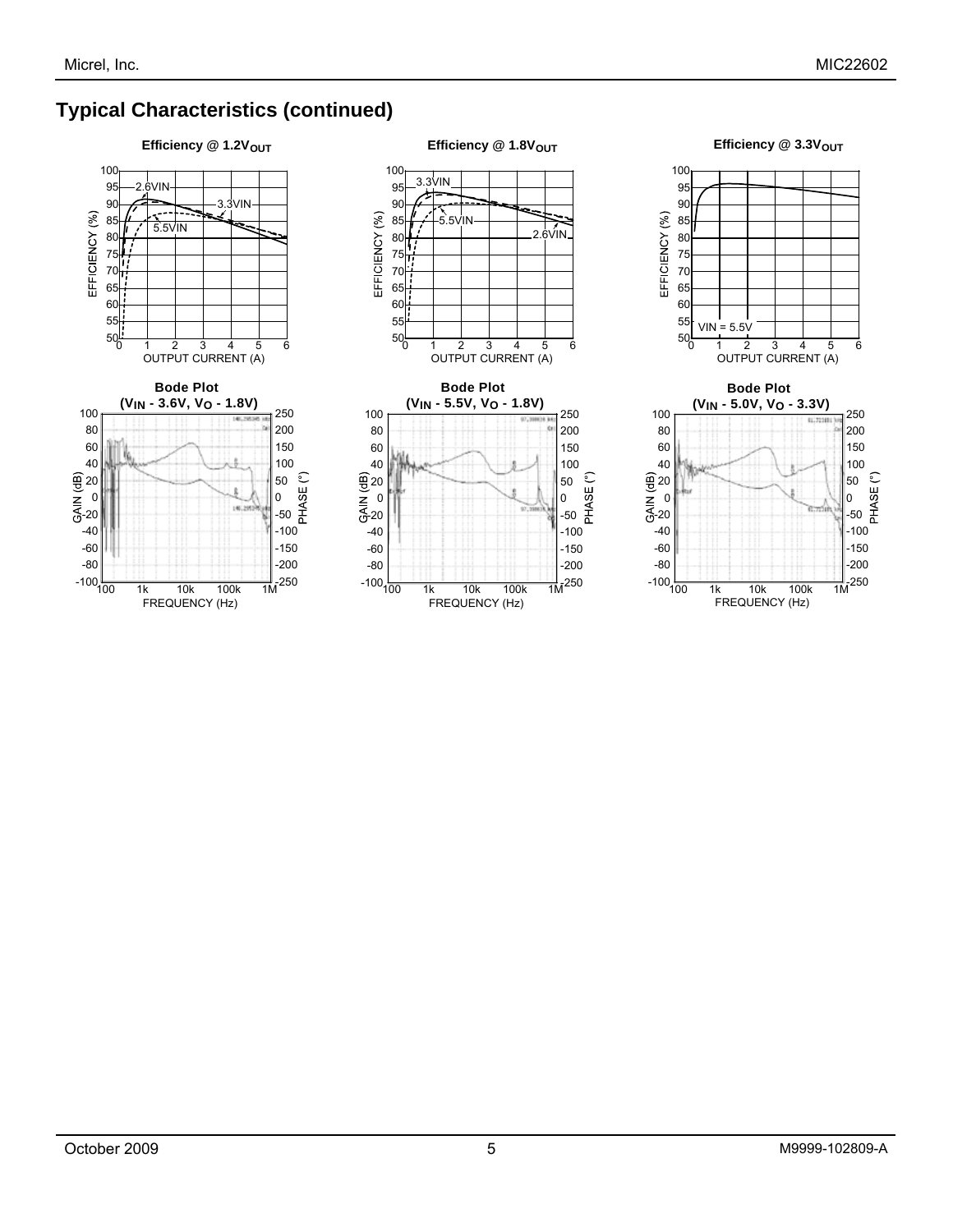## **Typical Characteristics (continued)**





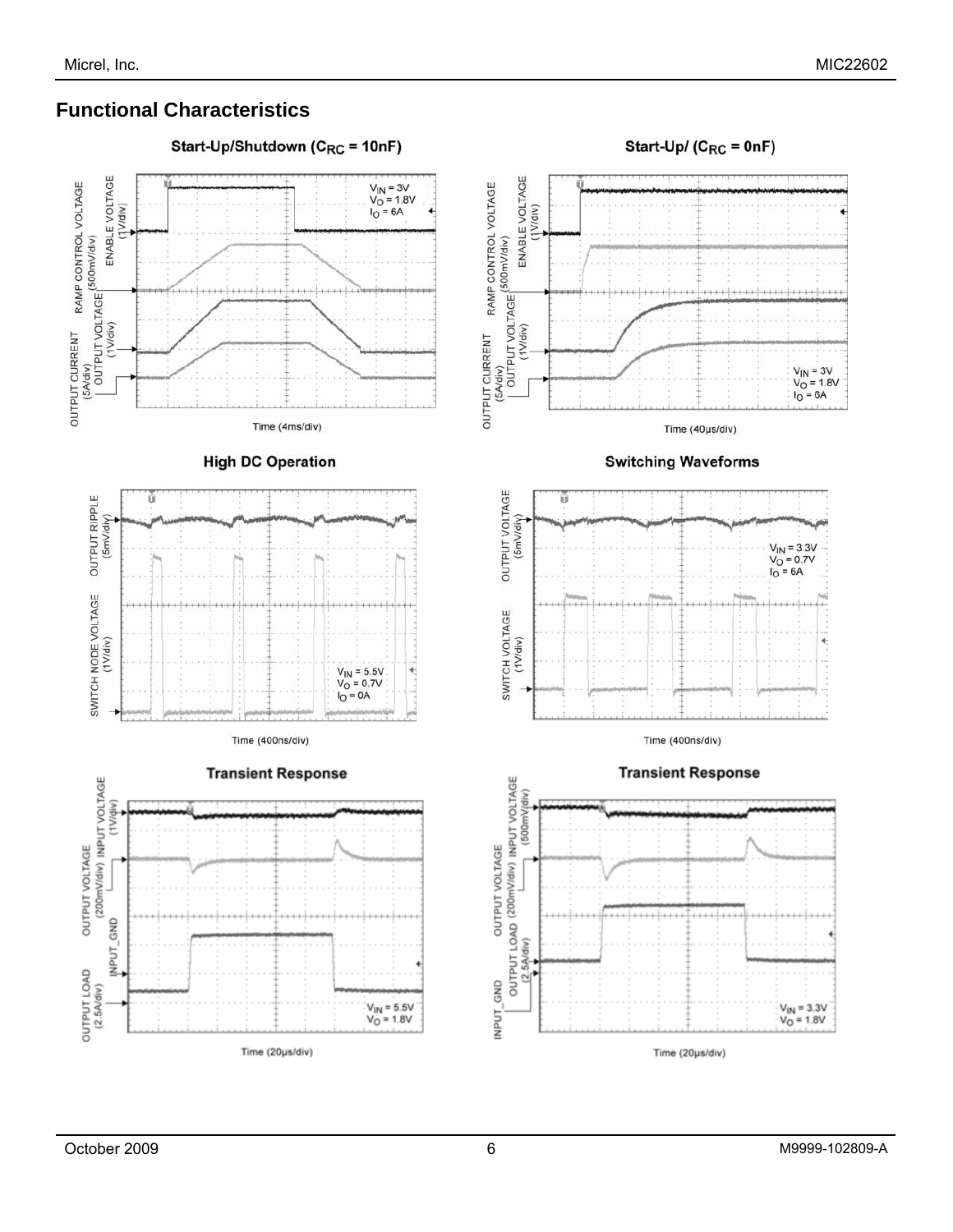## **Functional Characteristics**

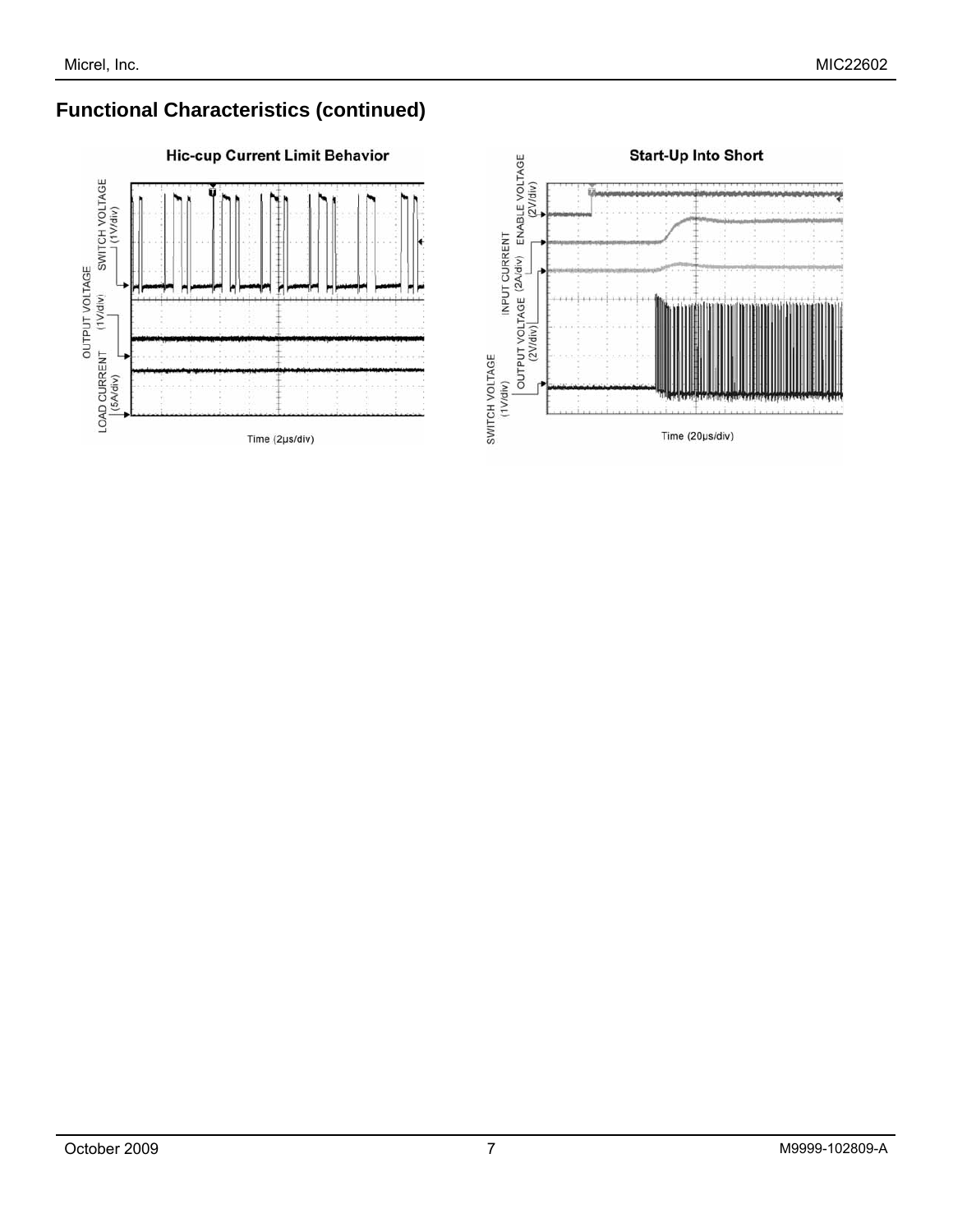## **Functional Characteristics (continued)**



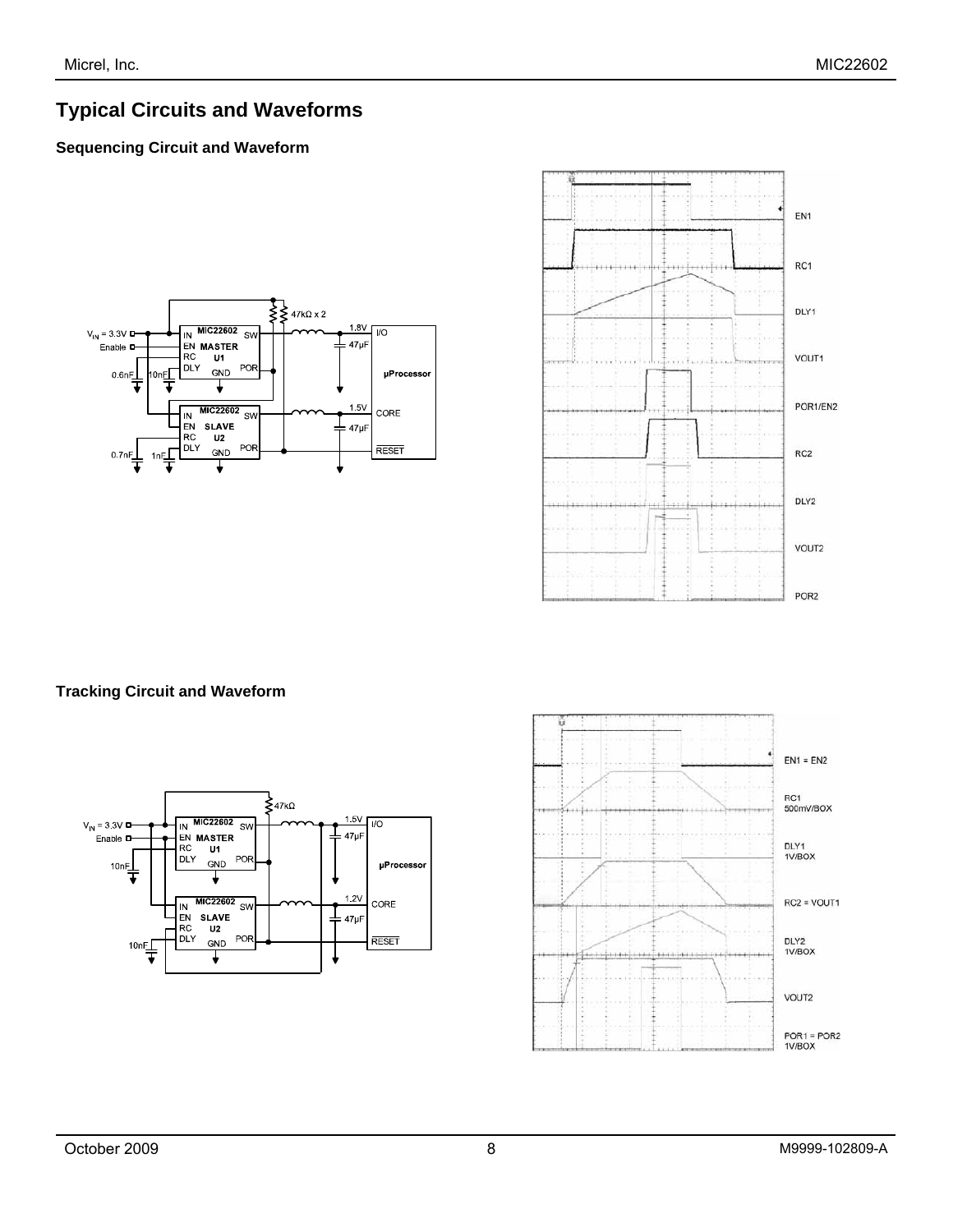## **Typical Circuits and Waveforms**

### **Sequencing Circuit and Waveform**





### **Tracking Circuit and Waveform**



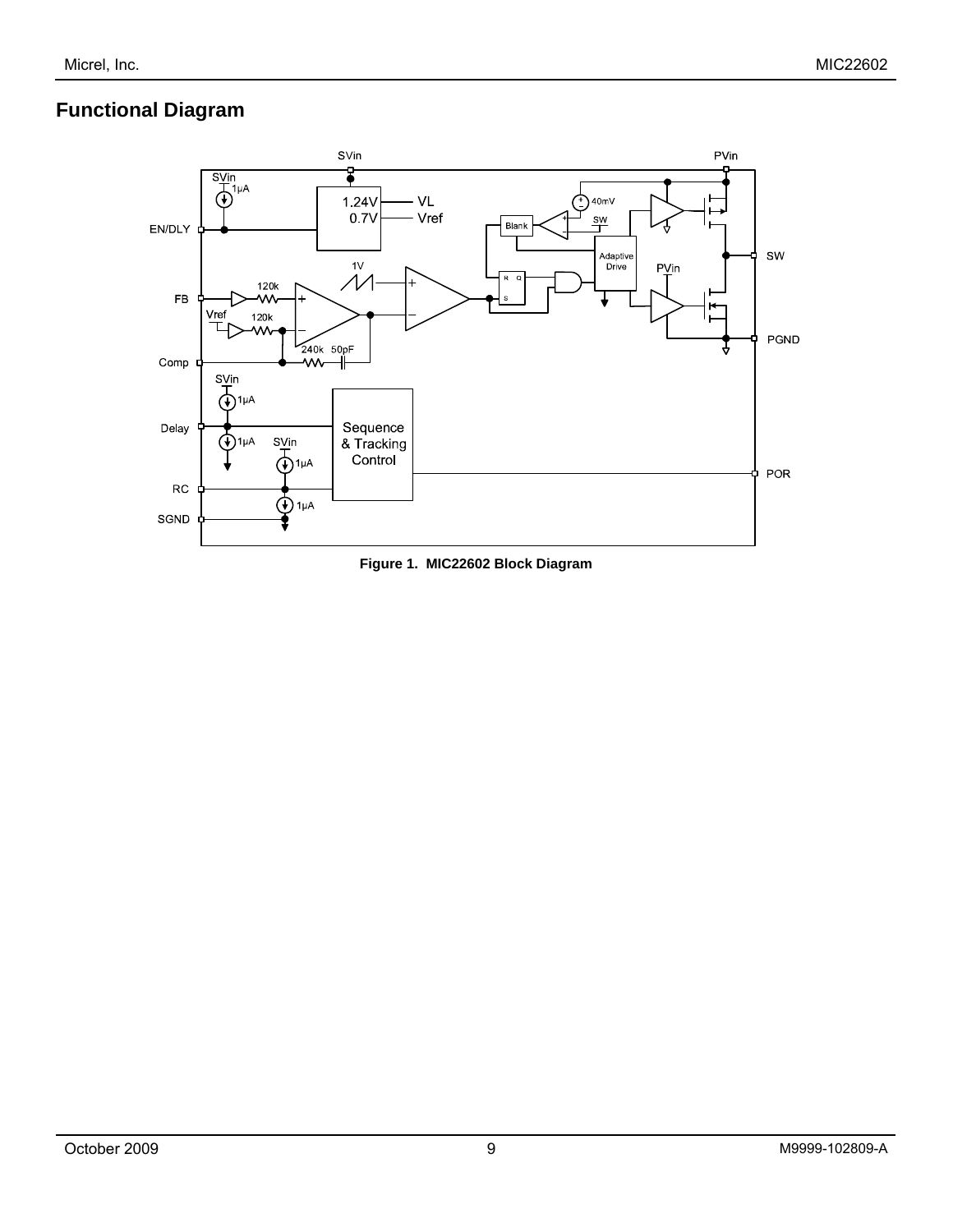## **Functional Diagram**



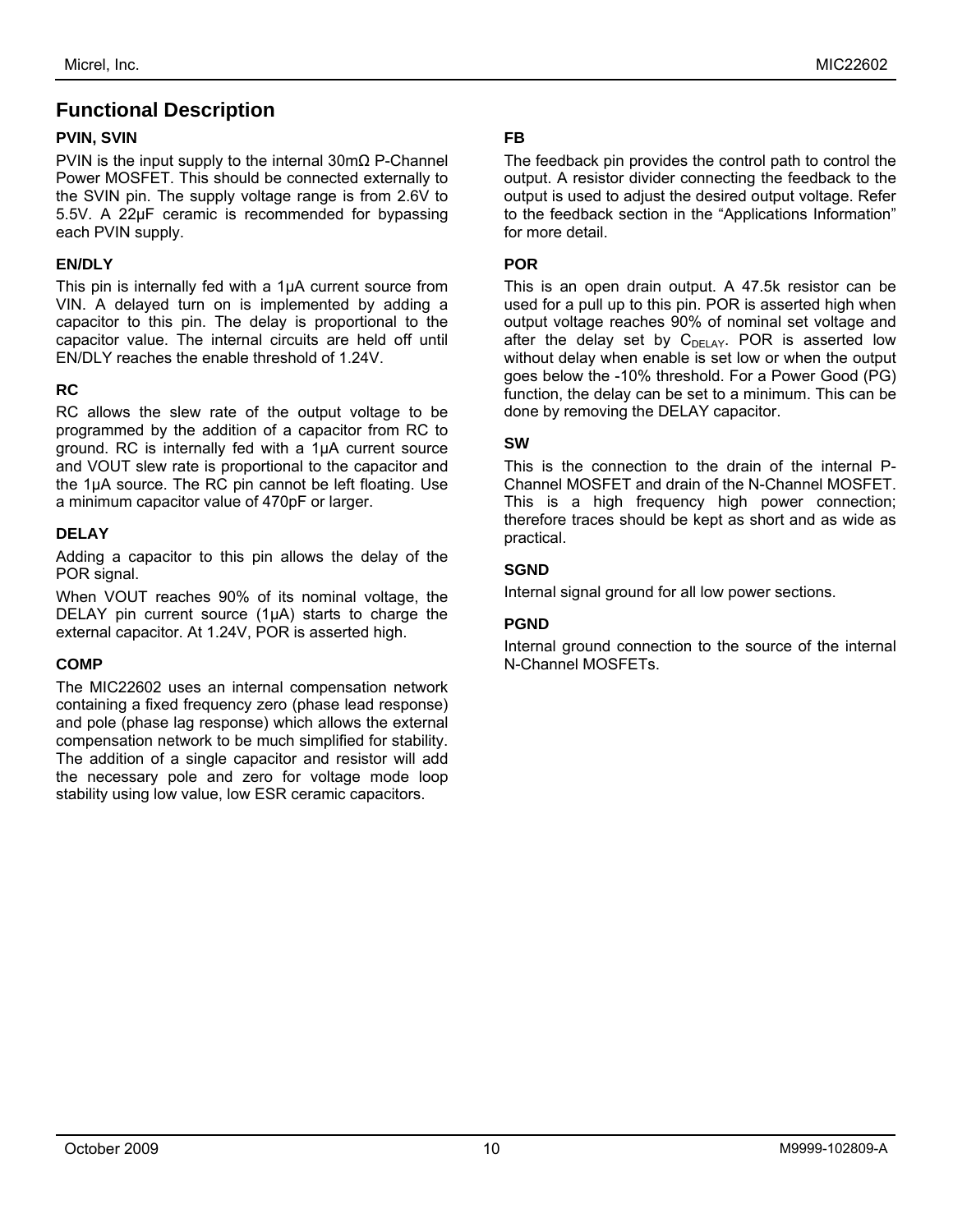## **Functional Description**

#### **PVIN, SVIN**

PVIN is the input supply to the internal 30mΩ P-Channel Power MOSFET. This should be connected externally to the SVIN pin. The supply voltage range is from 2.6V to 5.5V. A 22µF ceramic is recommended for bypassing each PVIN supply.

#### **EN/DLY**

This pin is internally fed with a 1µA current source from VIN. A delayed turn on is implemented by adding a capacitor to this pin. The delay is proportional to the capacitor value. The internal circuits are held off until EN/DLY reaches the enable threshold of 1.24V.

#### **RC**

RC allows the slew rate of the output voltage to be programmed by the addition of a capacitor from RC to ground. RC is internally fed with a 1µA current source and VOUT slew rate is proportional to the capacitor and the 1µA source. The RC pin cannot be left floating. Use a minimum capacitor value of 470pF or larger.

#### **DELAY**

Adding a capacitor to this pin allows the delay of the POR signal.

When VOUT reaches 90% of its nominal voltage, the DELAY pin current source  $(1\mu A)$  starts to charge the external capacitor. At 1.24V, POR is asserted high.

### **COMP**

The MIC22602 uses an internal compensation network containing a fixed frequency zero (phase lead response) and pole (phase lag response) which allows the external compensation network to be much simplified for stability. The addition of a single capacitor and resistor will add the necessary pole and zero for voltage mode loop stability using low value, low ESR ceramic capacitors.

#### **FB**

The feedback pin provides the control path to control the output. A resistor divider connecting the feedback to the output is used to adjust the desired output voltage. Refer to the feedback section in the "Applications Information" for more detail.

#### **POR**

This is an open drain output. A 47.5k resistor can be used for a pull up to this pin. POR is asserted high when output voltage reaches 90% of nominal set voltage and after the delay set by  $C_{DELAY}$ . POR is asserted low without delay when enable is set low or when the output goes below the -10% threshold. For a Power Good (PG) function, the delay can be set to a minimum. This can be done by removing the DELAY capacitor.

#### **SW**

This is the connection to the drain of the internal P-Channel MOSFET and drain of the N-Channel MOSFET. This is a high frequency high power connection; therefore traces should be kept as short and as wide as practical.

#### **SGND**

Internal signal ground for all low power sections.

#### **PGND**

Internal ground connection to the source of the internal N-Channel MOSFETs.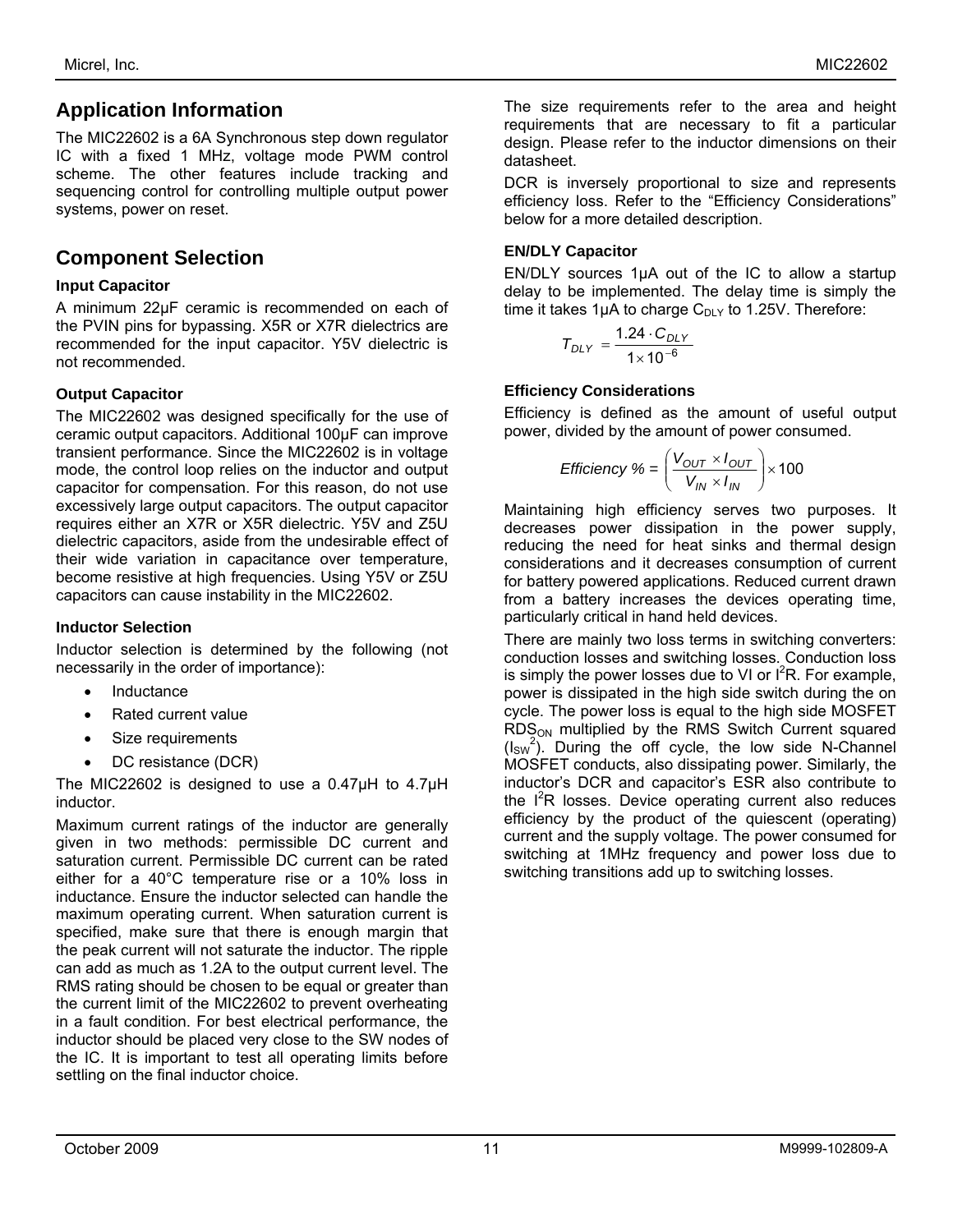## **Application Information**

The MIC22602 is a 6A Synchronous step down regulator IC with a fixed 1 MHz, voltage mode PWM control scheme. The other features include tracking and sequencing control for controlling multiple output power systems, power on reset.

## **Component Selection**

### **Input Capacitor**

A minimum 22µF ceramic is recommended on each of the PVIN pins for bypassing. X5R or X7R dielectrics are recommended for the input capacitor. Y5V dielectric is not recommended.

### **Output Capacitor**

The MIC22602 was designed specifically for the use of ceramic output capacitors. Additional 100µF can improve transient performance. Since the MIC22602 is in voltage mode, the control loop relies on the inductor and output capacitor for compensation. For this reason, do not use excessively large output capacitors. The output capacitor requires either an X7R or X5R dielectric. Y5V and Z5U dielectric capacitors, aside from the undesirable effect of their wide variation in capacitance over temperature, become resistive at high frequencies. Using Y5V or Z5U capacitors can cause instability in the MIC22602.

### **Inductor Selection**

Inductor selection is determined by the following (not necessarily in the order of importance):

- **Inductance**
- Rated current value
- Size requirements
- DC resistance (DCR)

The MIC22602 is designed to use a 0.47µH to 4.7µH inductor.

Maximum current ratings of the inductor are generally given in two methods: permissible DC current and saturation current. Permissible DC current can be rated either for a 40°C temperature rise or a 10% loss in inductance. Ensure the inductor selected can handle the maximum operating current. When saturation current is specified, make sure that there is enough margin that the peak current will not saturate the inductor. The ripple can add as much as 1.2A to the output current level. The RMS rating should be chosen to be equal or greater than the current limit of the MIC22602 to prevent overheating in a fault condition. For best electrical performance, the inductor should be placed very close to the SW nodes of the IC. It is important to test all operating limits before settling on the final inductor choice.

The size requirements refer to the area and height requirements that are necessary to fit a particular design. Please refer to the inductor dimensions on their datasheet.

DCR is inversely proportional to size and represents efficiency loss. Refer to the "Efficiency Considerations" below for a more detailed description.

### **EN/DLY Capacitor**

EN/DLY sources 1µA out of the IC to allow a startup delay to be implemented. The delay time is simply the time it takes 1 $\mu$ A to charge C<sub>DLY</sub> to 1.25V. Therefore:

$$
T_{DLY} = \frac{1.24 \cdot C_{DLY}}{1 \times 10^{-6}}
$$

### **Efficiency Considerations**

Efficiency is defined as the amount of useful output power, divided by the amount of power consumed.

$$
Efficiency % = \left(\frac{V_{OUT} \times I_{OUT}}{V_{IN} \times I_{IN}}\right) \times 100
$$

Maintaining high efficiency serves two purposes. It decreases power dissipation in the power supply, reducing the need for heat sinks and thermal design considerations and it decreases consumption of current for battery powered applications. Reduced current drawn from a battery increases the devices operating time, particularly critical in hand held devices.

There are mainly two loss terms in switching converters: conduction losses and switching losses. Conduction loss is simply the power losses due to VI or  $I^2R$ . For example, power is dissipated in the high side switch during the on cycle. The power loss is equal to the high side MOSFET  $RDS<sub>ON</sub>$  multiplied by the RMS Switch Current squared  $(I_{SW}^2)$ . During the off cycle, the low side N-Channel MOSFET conducts, also dissipating power. Similarly, the inductor's DCR and capacitor's ESR also contribute to the  $I<sup>2</sup>R$  losses. Device operating current also reduces efficiency by the product of the quiescent (operating) current and the supply voltage. The power consumed for switching at 1MHz frequency and power loss due to switching transitions add up to switching losses.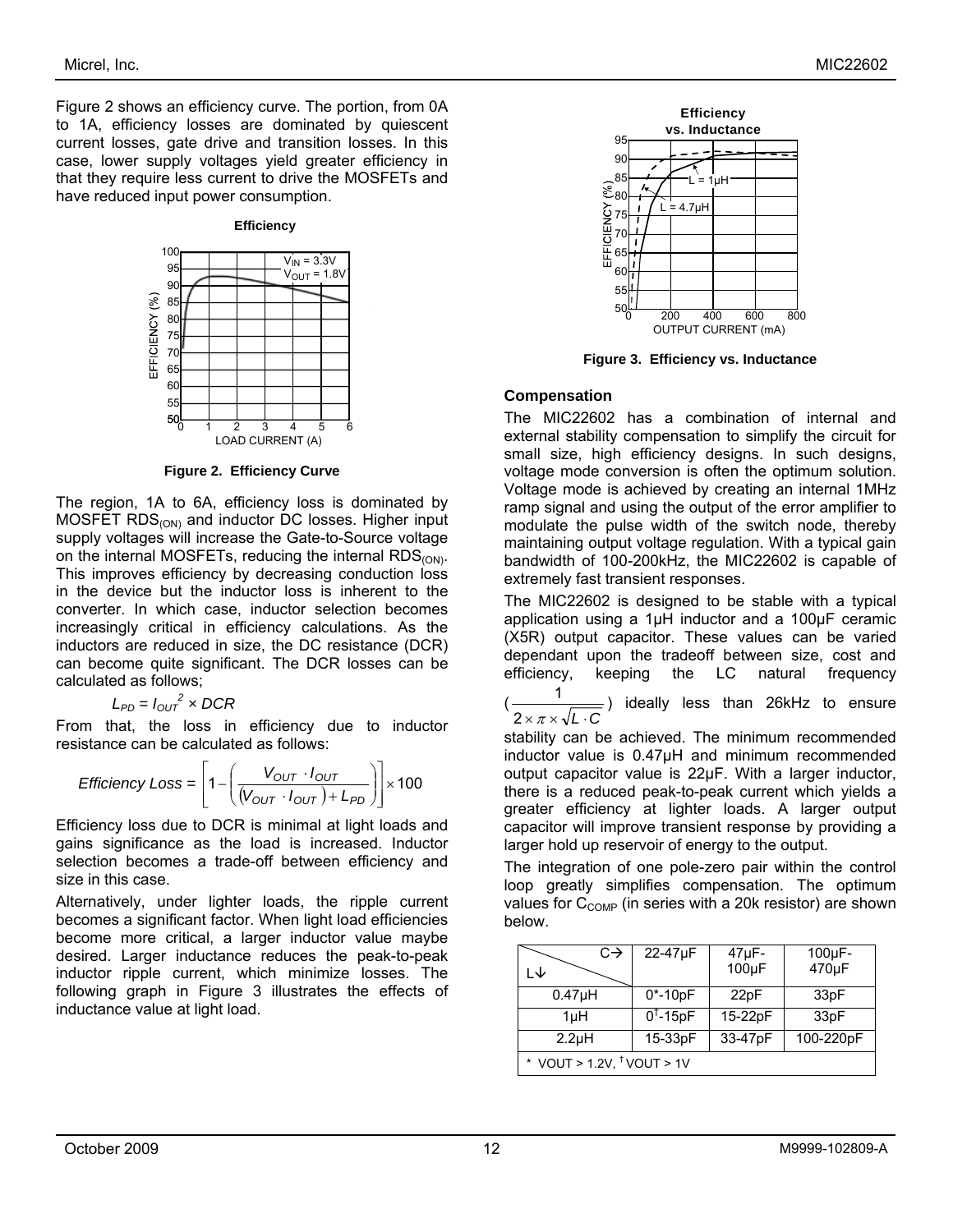Figure 2 shows an efficiency curve. The portion, from 0A to 1A, efficiency losses are dominated by quiescent current losses, gate drive and transition losses. In this case, lower supply voltages yield greater efficiency in that they require less current to drive the MOSFETs and have reduced input power consumption.

#### **Efficiency**



**Figure 2. Efficiency Curve** 

The region, 1A to 6A, efficiency loss is dominated by  $MOSFET RDS<sub>(ON)</sub>$  and inductor DC losses. Higher input supply voltages will increase the Gate-to-Source voltage on the internal MOSFETs, reducing the internal RDS<sub>(ON)</sub>. This improves efficiency by decreasing conduction loss in the device but the inductor loss is inherent to the converter. In which case, inductor selection becomes increasingly critical in efficiency calculations. As the inductors are reduced in size, the DC resistance (DCR) can become quite significant. The DCR losses can be calculated as follows;

$$
L_{PD} = I_{OUT}^2 \times DCR
$$

From that, the loss in efficiency due to inductor resistance can be calculated as follows:

$$
\text{Efficiency Loss} = \left[1 - \left(\frac{V_{OUT} \cdot I_{OUT}}{(V_{OUT} \cdot I_{OUT}) + L_{PD}}\right)\right] \times 100
$$

Efficiency loss due to DCR is minimal at light loads and gains significance as the load is increased. Inductor selection becomes a trade-off between efficiency and size in this case.

Alternatively, under lighter loads, the ripple current becomes a significant factor. When light load efficiencies become more critical, a larger inductor value maybe desired. Larger inductance reduces the peak-to-peak inductor ripple current, which minimize losses. The following graph in Figure 3 illustrates the effects of inductance value at light load.



**Figure 3. Efficiency vs. Inductance** 

#### **Compensation**

The MIC22602 has a combination of internal and external stability compensation to simplify the circuit for small size, high efficiency designs. In such designs, voltage mode conversion is often the optimum solution. Voltage mode is achieved by creating an internal 1MHz ramp signal and using the output of the error amplifier to modulate the pulse width of the switch node, thereby maintaining output voltage regulation. With a typical gain bandwidth of 100-200kHz, the MIC22602 is capable of extremely fast transient responses.

The MIC22602 is designed to be stable with a typical application using a 1µH inductor and a 100µF ceramic (X5R) output capacitor. These values can be varied dependant upon the tradeoff between size, cost and efficiency, keeping the LC natural frequency

(  $2\times\pi\times\sqrt{L}\cdot C$  $\frac{1}{\sqrt{1-\frac{1}{\sqrt{1-\frac{1}{\sqrt{1-\frac{1}{\sqrt{1-\frac{1}{\sqrt{1-\frac{1}{\sqrt{1-\frac{1}{\sqrt{1-\frac{1}{\sqrt{1-\frac{1}{\sqrt{1-\frac{1}{\sqrt{1-\frac{1}{\sqrt{1-\frac{1}{\sqrt{1-\frac{1}{\sqrt{1-\frac{1}{\sqrt{1-\frac{1}{\sqrt{1-\frac{1}{\sqrt{1-\frac{1}{\sqrt{1-\frac{1}{\sqrt{1-\frac{1}{\sqrt{1-\frac{1}{\sqrt{1-\frac{1}{\sqrt{1-\frac{1}{\sqrt{1-\frac{1}{\sqrt{1-\frac{1}{\sqrt{1-\frac{1$ 

stability can be achieved. The minimum recommended inductor value is 0.47µH and minimum recommended output capacitor value is 22µF. With a larger inductor, there is a reduced peak-to-peak current which yields a greater efficiency at lighter loads. A larger output capacitor will improve transient response by providing a larger hold up reservoir of energy to the output.

The integration of one pole-zero pair within the control loop greatly simplifies compensation. The optimum values for  $C_{\text{COMP}}$  (in series with a 20k resistor) are shown below.

| $C \rightarrow$<br>l J              | 22-47µF     | 47µF-<br>100µF | $100\mu F -$<br>470µF |  |  |
|-------------------------------------|-------------|----------------|-----------------------|--|--|
| $0.47\muH$                          | $0* - 10pF$ | 22pF           | 33 <sub>pF</sub>      |  |  |
| 1µH                                 | $0†$ -15pF  | 15-22pF        | 33 <sub>pF</sub>      |  |  |
| 2.2 <sub>µ</sub> H                  | 15-33pF     | 33-47pF        | 100-220pF             |  |  |
| * VOUT > 1.2V, $^\dagger$ VOUT > 1V |             |                |                       |  |  |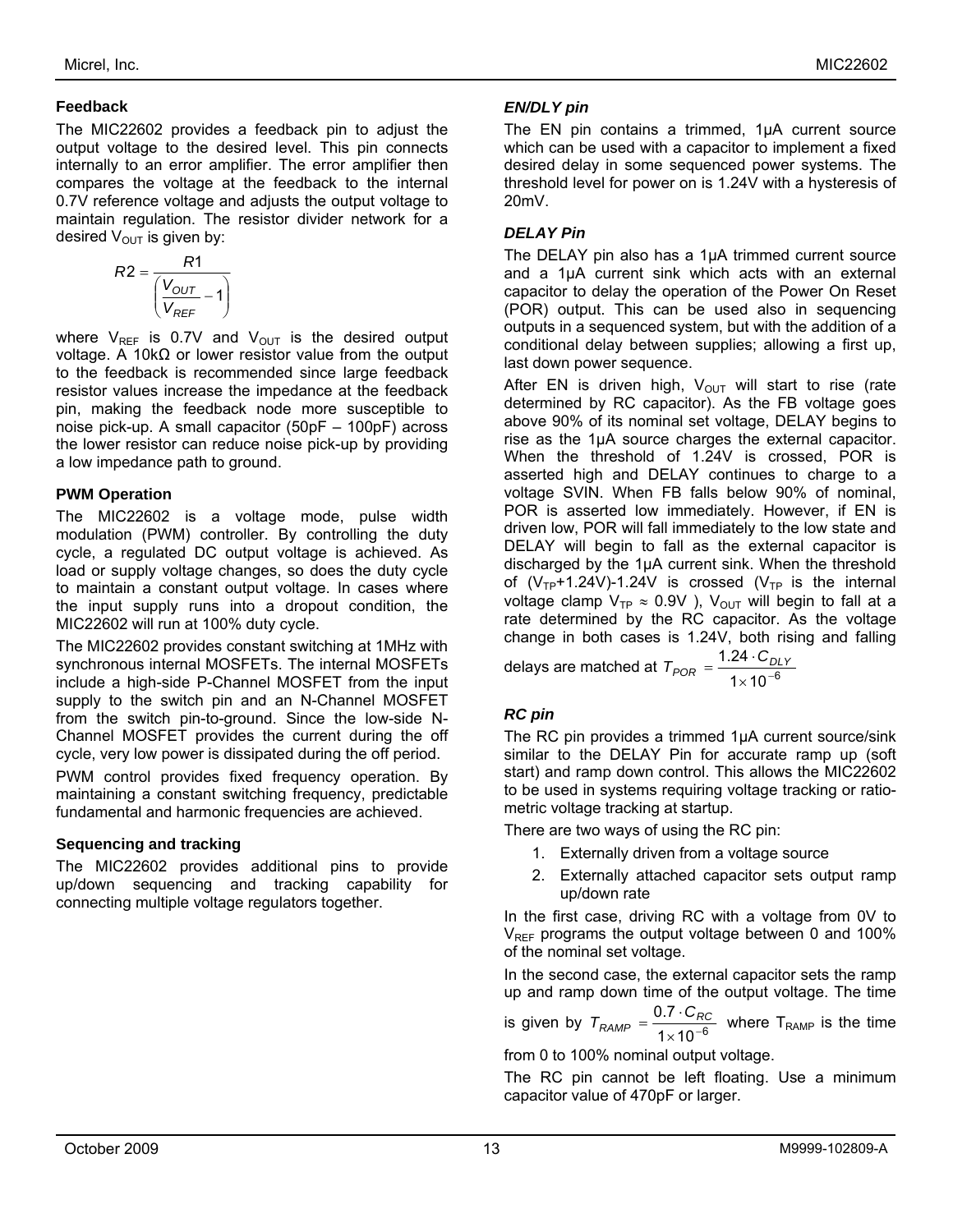#### **Feedback**

The MIC22602 provides a feedback pin to adjust the output voltage to the desired level. This pin connects internally to an error amplifier. The error amplifier then compares the voltage at the feedback to the internal 0.7V reference voltage and adjusts the output voltage to maintain regulation. The resistor divider network for a desired  $V_{\text{OUT}}$  is given by:

$$
R2 = \frac{R1}{\left(\frac{V_{OUT}}{V_{REF}} - 1\right)}
$$

where  $V_{REF}$  is 0.7V and  $V_{OUT}$  is the desired output voltage. A 10kΩ or lower resistor value from the output to the feedback is recommended since large feedback resistor values increase the impedance at the feedback pin, making the feedback node more susceptible to noise pick-up. A small capacitor (50pF – 100pF) across the lower resistor can reduce noise pick-up by providing a low impedance path to ground.

#### **PWM Operation**

The MIC22602 is a voltage mode, pulse width modulation (PWM) controller. By controlling the duty cycle, a regulated DC output voltage is achieved. As load or supply voltage changes, so does the duty cycle to maintain a constant output voltage. In cases where the input supply runs into a dropout condition, the MIC22602 will run at 100% duty cycle.

The MIC22602 provides constant switching at 1MHz with synchronous internal MOSFETs. The internal MOSFETs include a high-side P-Channel MOSFET from the input supply to the switch pin and an N-Channel MOSFET from the switch pin-to-ground. Since the low-side N-Channel MOSFET provides the current during the off cycle, very low power is dissipated during the off period.

PWM control provides fixed frequency operation. By maintaining a constant switching frequency, predictable fundamental and harmonic frequencies are achieved.

### **Sequencing and tracking**

The MIC22602 provides additional pins to provide up/down sequencing and tracking capability for connecting multiple voltage regulators together.

#### *EN/DLY pin*

The EN pin contains a trimmed, 1µA current source which can be used with a capacitor to implement a fixed desired delay in some sequenced power systems. The threshold level for power on is 1.24V with a hysteresis of 20mV.

#### *DELAY Pin*

The DELAY pin also has a 1µA trimmed current source and a 1µA current sink which acts with an external capacitor to delay the operation of the Power On Reset (POR) output. This can be used also in sequencing outputs in a sequenced system, but with the addition of a conditional delay between supplies; allowing a first up, last down power sequence.

After EN is driven high,  $V_{OUT}$  will start to rise (rate determined by RC capacitor). As the FB voltage goes above 90% of its nominal set voltage, DELAY begins to rise as the 1µA source charges the external capacitor. When the threshold of 1.24V is crossed, POR is asserted high and DELAY continues to charge to a voltage SVIN. When FB falls below 90% of nominal, POR is asserted low immediately. However, if EN is driven low, POR will fall immediately to the low state and DELAY will begin to fall as the external capacitor is discharged by the 1µA current sink. When the threshold of  $(V_{TP}+1.24V)-1.24V$  is crossed  $(V_{TP}$  is the internal voltage clamp  $V_{TP} \approx 0.9V$  ),  $V_{OUT}$  will begin to fall at a rate determined by the RC capacitor. As the voltage change in both cases is 1.24V, both rising and falling

delays are matched at  $T_{POR} = \displaystyle{\frac{1.24 \cdot C_{DL}}{1 \times 10^{-6}}}$  $\times$  10<sup>-</sup>  $T_{POR} = \frac{1.24 \cdot C_{DLY}}{1.48 \cdot 10^{-6}}$ 

### *RC pin*

The RC pin provides a trimmed 1µA current source/sink similar to the DELAY Pin for accurate ramp up (soft start) and ramp down control. This allows the MIC22602 to be used in systems requiring voltage tracking or ratiometric voltage tracking at startup.

There are two ways of using the RC pin:

- 1. Externally driven from a voltage source
- 2. Externally attached capacitor sets output ramp up/down rate

In the first case, driving RC with a voltage from 0V to  $V_{BFE}$  programs the output voltage between 0 and 100% of the nominal set voltage.

In the second case, the external capacitor sets the ramp up and ramp down time of the output voltage. The time

is given by  $T_{RAMP} = \frac{0.7 \cdot C_{RQ}}{1 \times 10^{-6}}$  $\times$  10<sup>-</sup>  $T_{RAMP} = \frac{0.7 \cdot C_{RC}}{1.18 \cdot \frac{6}{5}}$  where T<sub>RAMP</sub> is the time

from 0 to 100% nominal output voltage.

The RC pin cannot be left floating. Use a minimum capacitor value of 470pF or larger.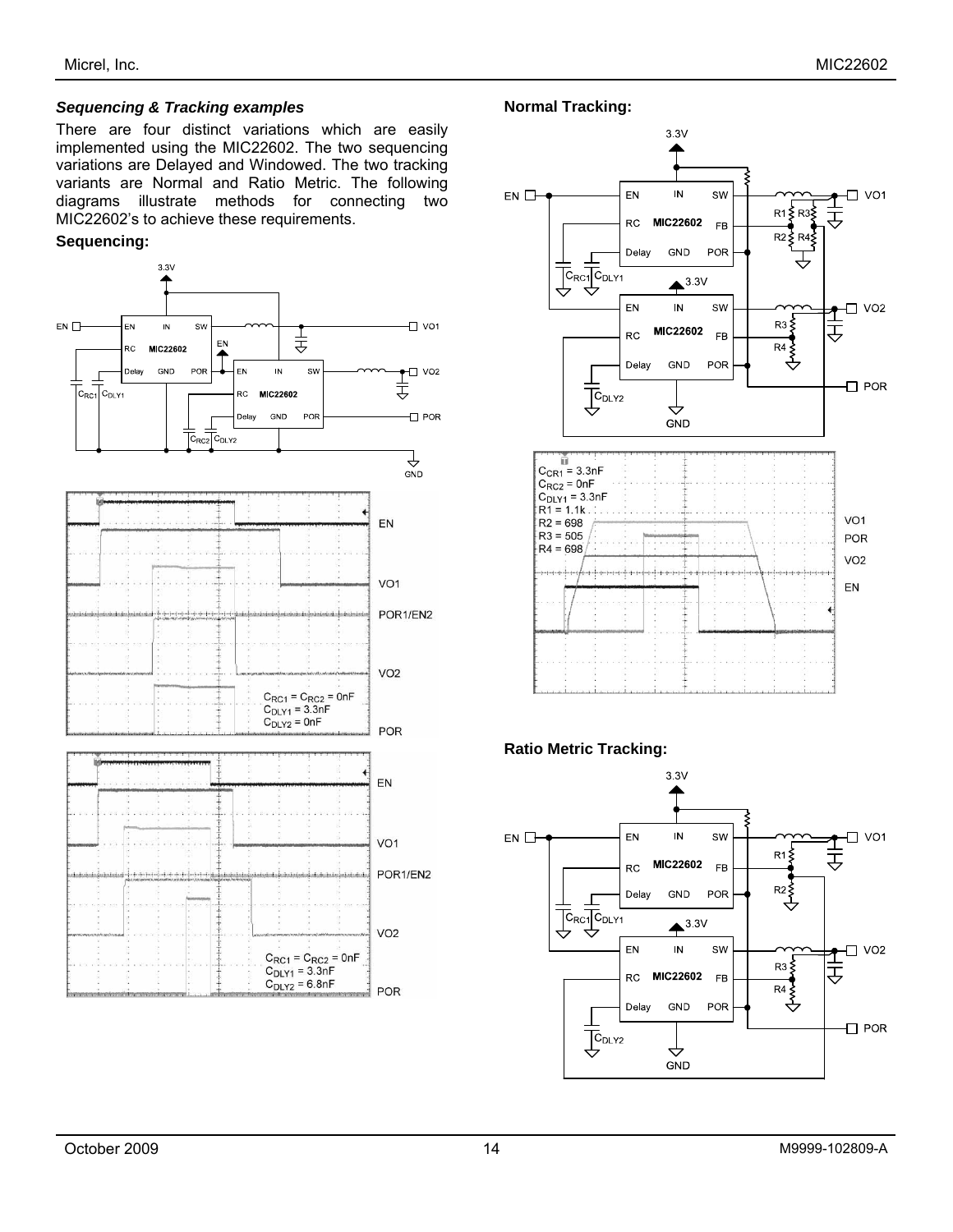#### *Sequencing & Tracking examples*

There are four distinct variations which are easily implemented using the MIC22602. The two sequencing variations are Delayed and Windowed. The two tracking variants are Normal and Ratio Metric. The following diagrams illustrate methods for connecting two MIC22602's to achieve these requirements.

#### **Sequencing:**



**Normal Tracking:** 





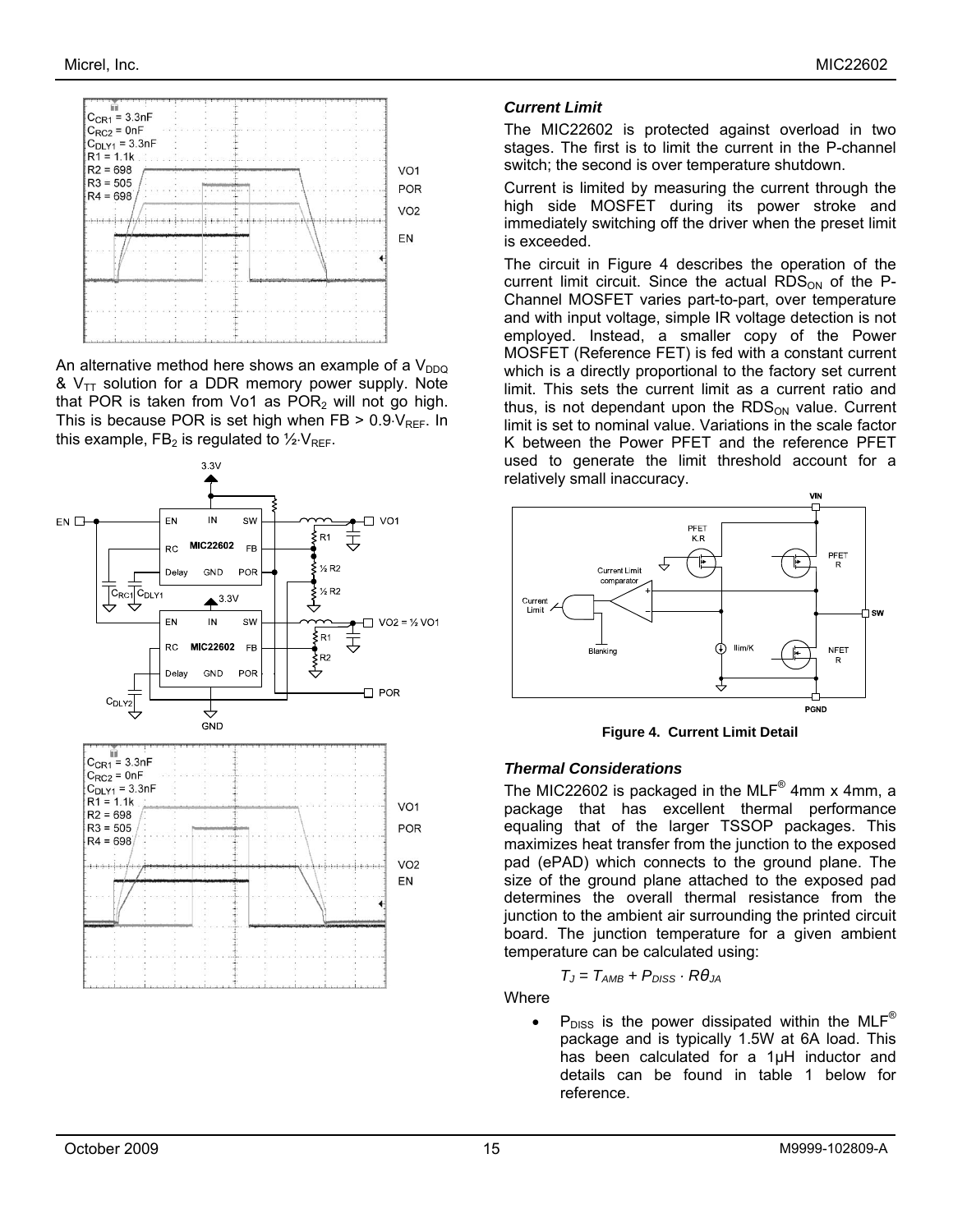

An alternative method here shows an example of a  $V_{DDQ}$ &  $V_{TT}$  solution for a DDR memory power supply. Note that POR is taken from Vo1 as  $POR<sub>2</sub>$  will not go high. This is because POR is set high when  $FB > 0.9 \, V_{REF}$ . In this example, FB<sub>2</sub> is regulated to  $\frac{1}{2}$ ·V<sub>RFF</sub>.



#### *Current Limit*

The MIC22602 is protected against overload in two stages. The first is to limit the current in the P-channel switch; the second is over temperature shutdown.

Current is limited by measuring the current through the high side MOSFET during its power stroke and immediately switching off the driver when the preset limit is exceeded.

The circuit in Figure 4 describes the operation of the current limit circuit. Since the actual  $RDS<sub>ON</sub>$  of the P-Channel MOSFET varies part-to-part, over temperature and with input voltage, simple IR voltage detection is not employed. Instead, a smaller copy of the Power MOSFET (Reference FET) is fed with a constant current which is a directly proportional to the factory set current limit. This sets the current limit as a current ratio and thus, is not dependant upon the  $RDS<sub>ON</sub>$  value. Current limit is set to nominal value. Variations in the scale factor K between the Power PFET and the reference PFET used to generate the limit threshold account for a relatively small inaccuracy.



**Figure 4. Current Limit Detail** 

#### *Thermal Considerations*

The MIC22602 is packaged in the MLF $^{\circ}$  4mm x 4mm, a package that has excellent thermal performance equaling that of the larger TSSOP packages. This maximizes heat transfer from the junction to the exposed pad (ePAD) which connects to the ground plane. The size of the ground plane attached to the exposed pad determines the overall thermal resistance from the junction to the ambient air surrounding the printed circuit board. The junction temperature for a given ambient temperature can be calculated using:

$$
T_J = T_{AMB} + P_{DISS} \cdot R\theta_{JA}
$$

**Where** 

 $P_{\text{DISS}}$  is the power dissipated within the MLF<sup>®</sup> package and is typically 1.5W at 6A load. This has been calculated for a 1µH inductor and details can be found in table 1 below for reference.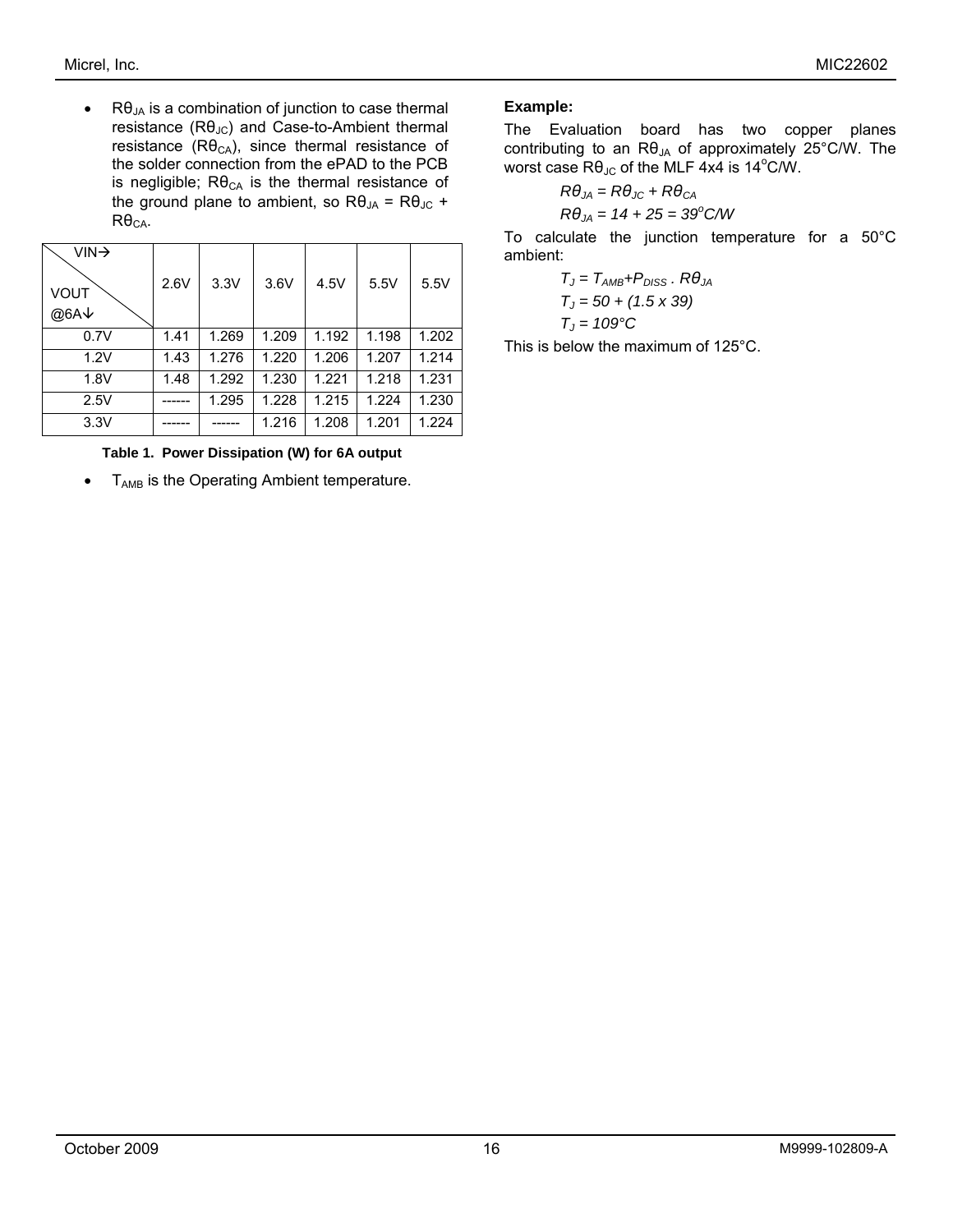•  $R\theta_{JA}$  is a combination of junction to case thermal resistance  $(R\theta_{JC})$  and Case-to-Ambient thermal resistance ( $\text{R}\theta_{\text{CA}}$ ), since thermal resistance of the solder connection from the ePAD to the PCB is negligible;  $R\theta_{CA}$  is the thermal resistance of the ground plane to ambient, so  $R\theta_{JA} = R\theta_{JC} +$  $R\theta_{CA}$ .

| $VIN \rightarrow$<br>VOUT<br>@6A↓ | 2.6V | 3.3V  | 3.6V  | 4.5V  | 5.5V  | 5.5V  |
|-----------------------------------|------|-------|-------|-------|-------|-------|
| 0.7V                              | 1.41 | 1.269 | 1.209 | 1.192 | 1.198 | 1.202 |
| 1.2V                              | 1.43 | 1.276 | 1.220 | 1.206 | 1.207 | 1.214 |
| 1.8V                              | 1.48 | 1.292 | 1.230 | 1.221 | 1.218 | 1.231 |
| 2.5V                              |      | 1.295 | 1.228 | 1.215 | 1.224 | 1.230 |
| 3.3V                              |      |       | 1.216 | 1.208 | 1.201 | 1.224 |

#### **Table 1. Power Dissipation (W) for 6A output**

 $\bullet$   $T_{AMB}$  is the Operating Ambient temperature.

#### **Example:**

The Evaluation board has two copper planes contributing to an  $\mathsf{R}\theta_{\mathsf{JA}}$  of approximately 25°C/W. The worst case  $\mathsf{R}\theta_{\mathsf{J}\mathsf{C}}$  of the MLF 4x4 is 14°C/W.

$$
R\theta_{JA} = R\theta_{JC} + R\theta_{CA}
$$

$$
R\theta_{JA} = 14 + 25 = 39^{\circ}C/W
$$

To calculate the junction temperature for a 50°C ambient:

$$
T_J = T_{AMB} + P_{DISS} \cdot R\theta_{JA}
$$
  
\n
$$
T_J = 50 + (1.5 \times 39)
$$
  
\n
$$
T_J = 109^{\circ}C
$$

This is below the maximum of 125°C.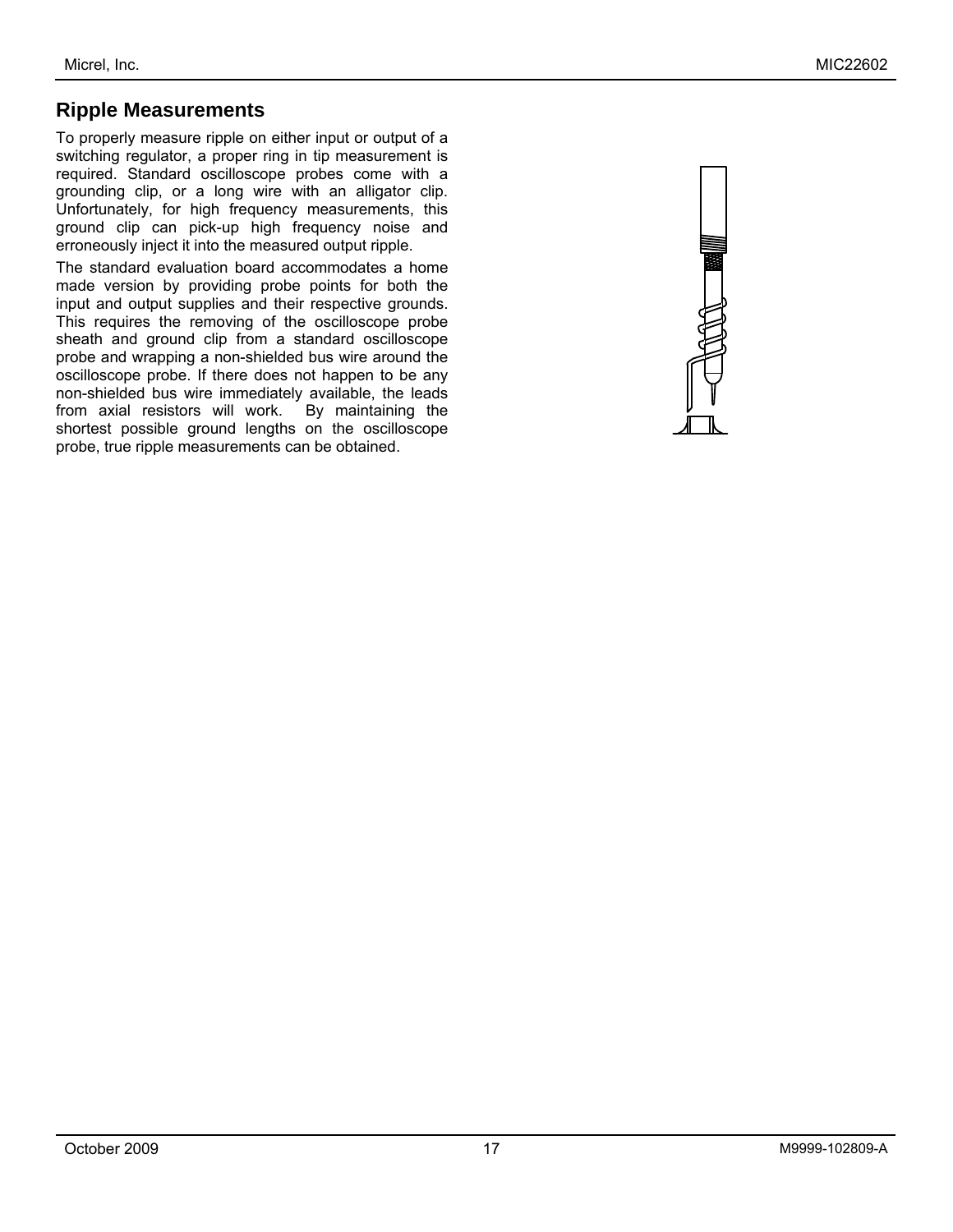### **Ripple Measurements**

To properly measure ripple on either input or output of a switching regulator, a proper ring in tip measurement is required. Standard oscilloscope probes come with a grounding clip, or a long wire with an alligator clip. Unfortunately, for high frequency measurements, this ground clip can pick-up high frequency noise and erroneously inject it into the measured output ripple.

The standard evaluation board accommodates a home made version by providing probe points for both the input and output supplies and their respective grounds. This requires the removing of the oscilloscope probe sheath and ground clip from a standard oscilloscope probe and wrapping a non-shielded bus wire around the oscilloscope probe. If there does not happen to be any non-shielded bus wire immediately available, the leads from axial resistors will work. By maintaining the from axial resistors will work. shortest possible ground lengths on the oscilloscope probe, true ripple measurements can be obtained.

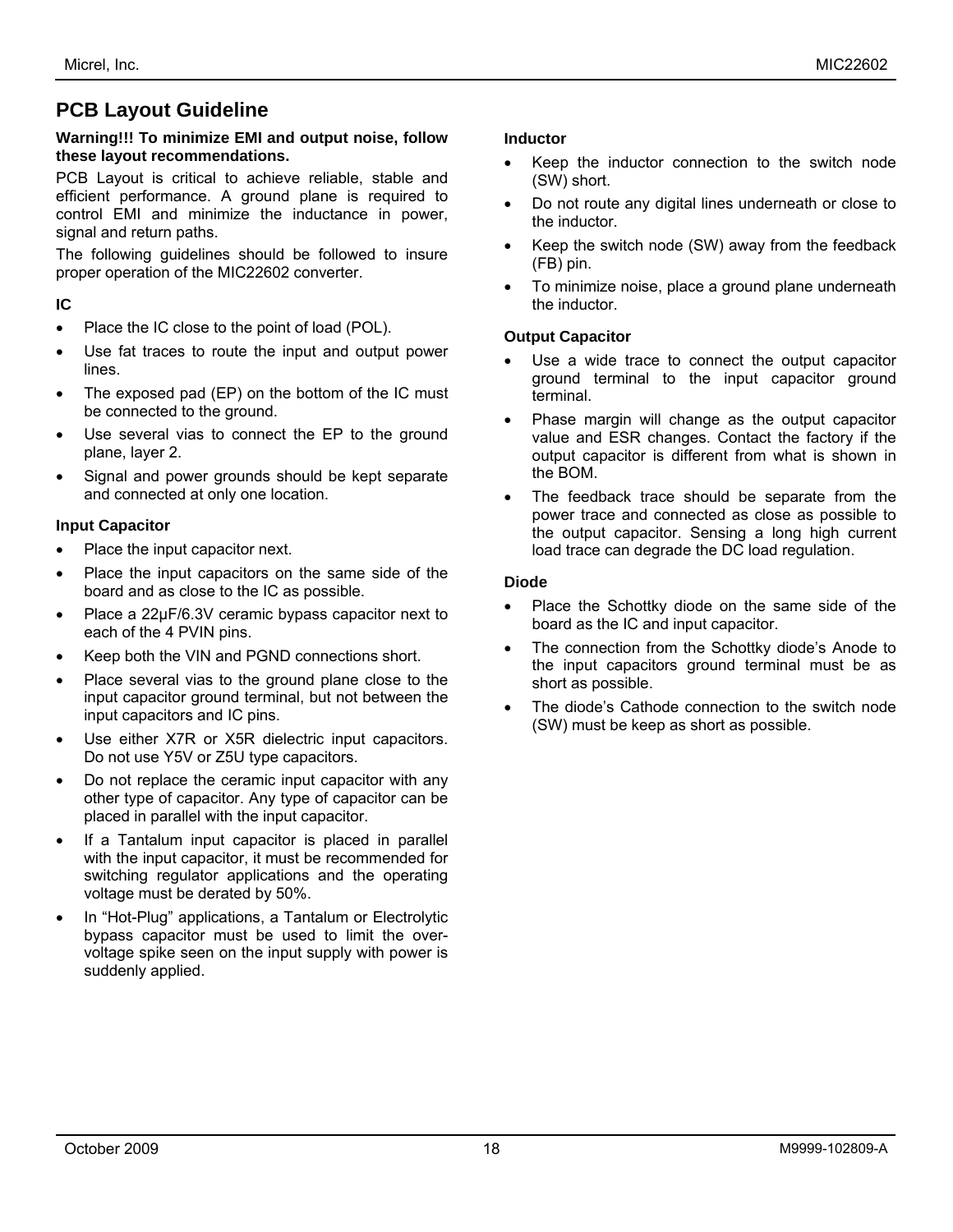## **PCB Layout Guideline**

#### **Warning!!! To minimize EMI and output noise, follow these layout recommendations.**

PCB Layout is critical to achieve reliable, stable and efficient performance. A ground plane is required to control EMI and minimize the inductance in power, signal and return paths.

The following guidelines should be followed to insure proper operation of the MIC22602 converter.

### **IC**

- Place the IC close to the point of load (POL).
- Use fat traces to route the input and output power lines.
- The exposed pad (EP) on the bottom of the IC must be connected to the ground.
- Use several vias to connect the EP to the ground plane, layer 2.
- Signal and power grounds should be kept separate and connected at only one location.

#### **Input Capacitor**

- Place the input capacitor next.
- Place the input capacitors on the same side of the board and as close to the IC as possible.
- Place a 22µF/6.3V ceramic bypass capacitor next to each of the 4 PVIN pins.
- Keep both the VIN and PGND connections short.
- Place several vias to the ground plane close to the input capacitor ground terminal, but not between the input capacitors and IC pins.
- Use either X7R or X5R dielectric input capacitors. Do not use Y5V or Z5U type capacitors.
- Do not replace the ceramic input capacitor with any other type of capacitor. Any type of capacitor can be placed in parallel with the input capacitor.
- If a Tantalum input capacitor is placed in parallel with the input capacitor, it must be recommended for switching regulator applications and the operating voltage must be derated by 50%.
- In "Hot-Plug" applications, a Tantalum or Electrolytic bypass capacitor must be used to limit the overvoltage spike seen on the input supply with power is suddenly applied.

#### **Inductor**

- Keep the inductor connection to the switch node (SW) short.
- Do not route any digital lines underneath or close to the inductor.
- Keep the switch node (SW) away from the feedback (FB) pin.
- To minimize noise, place a ground plane underneath the inductor.

#### **Output Capacitor**

- Use a wide trace to connect the output capacitor ground terminal to the input capacitor ground terminal.
- Phase margin will change as the output capacitor value and ESR changes. Contact the factory if the output capacitor is different from what is shown in the BOM.
- The feedback trace should be separate from the power trace and connected as close as possible to the output capacitor. Sensing a long high current load trace can degrade the DC load regulation.

#### **Diode**

- Place the Schottky diode on the same side of the board as the IC and input capacitor.
- The connection from the Schottky diode's Anode to the input capacitors ground terminal must be as short as possible.
- The diode's Cathode connection to the switch node (SW) must be keep as short as possible.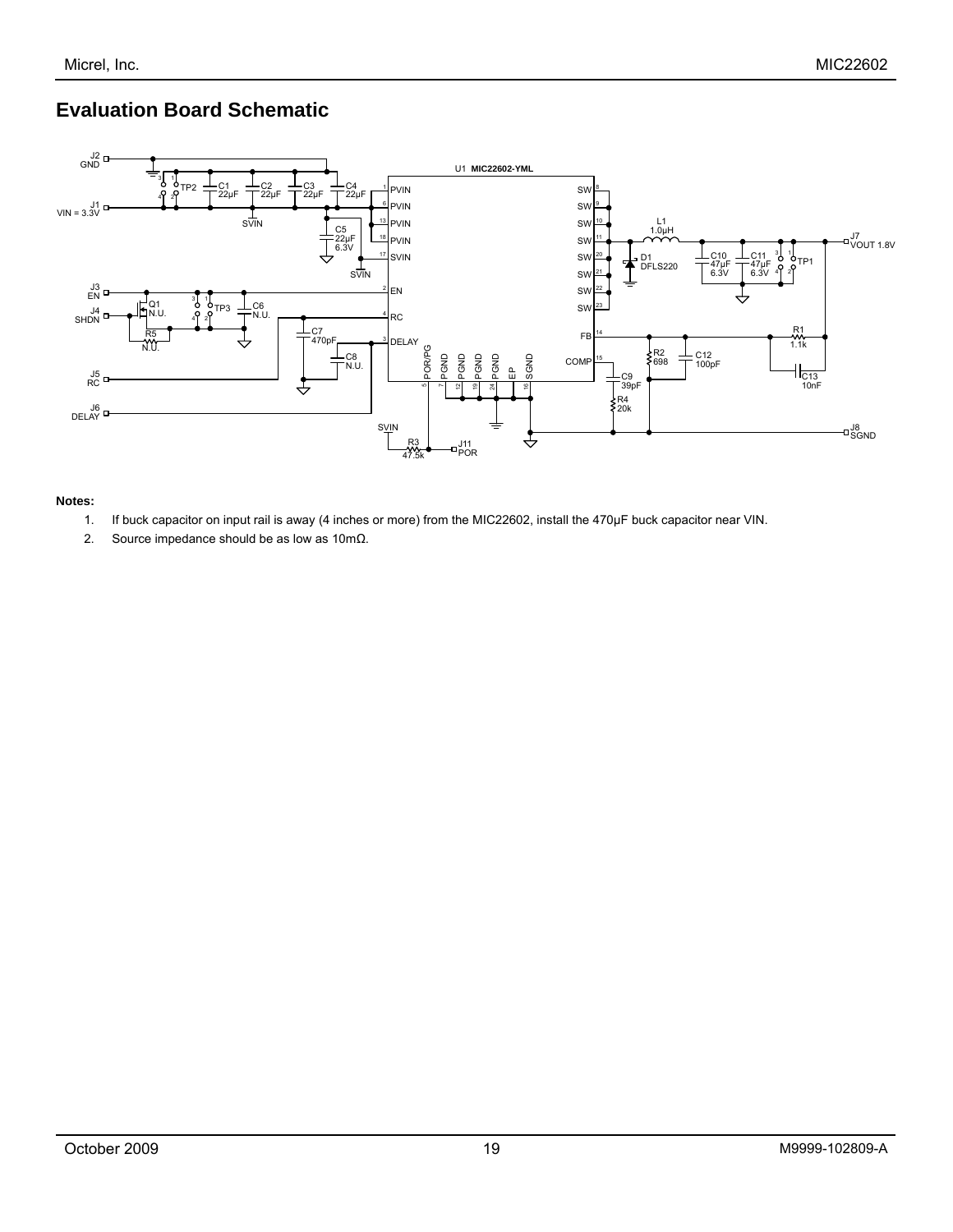## **Evaluation Board Schematic**



#### **Notes:**

- 1. If buck capacitor on input rail is away (4 inches or more) from the MIC22602, install the 470µF buck capacitor near VIN.
- 2. Source impedance should be as low as 10mΩ.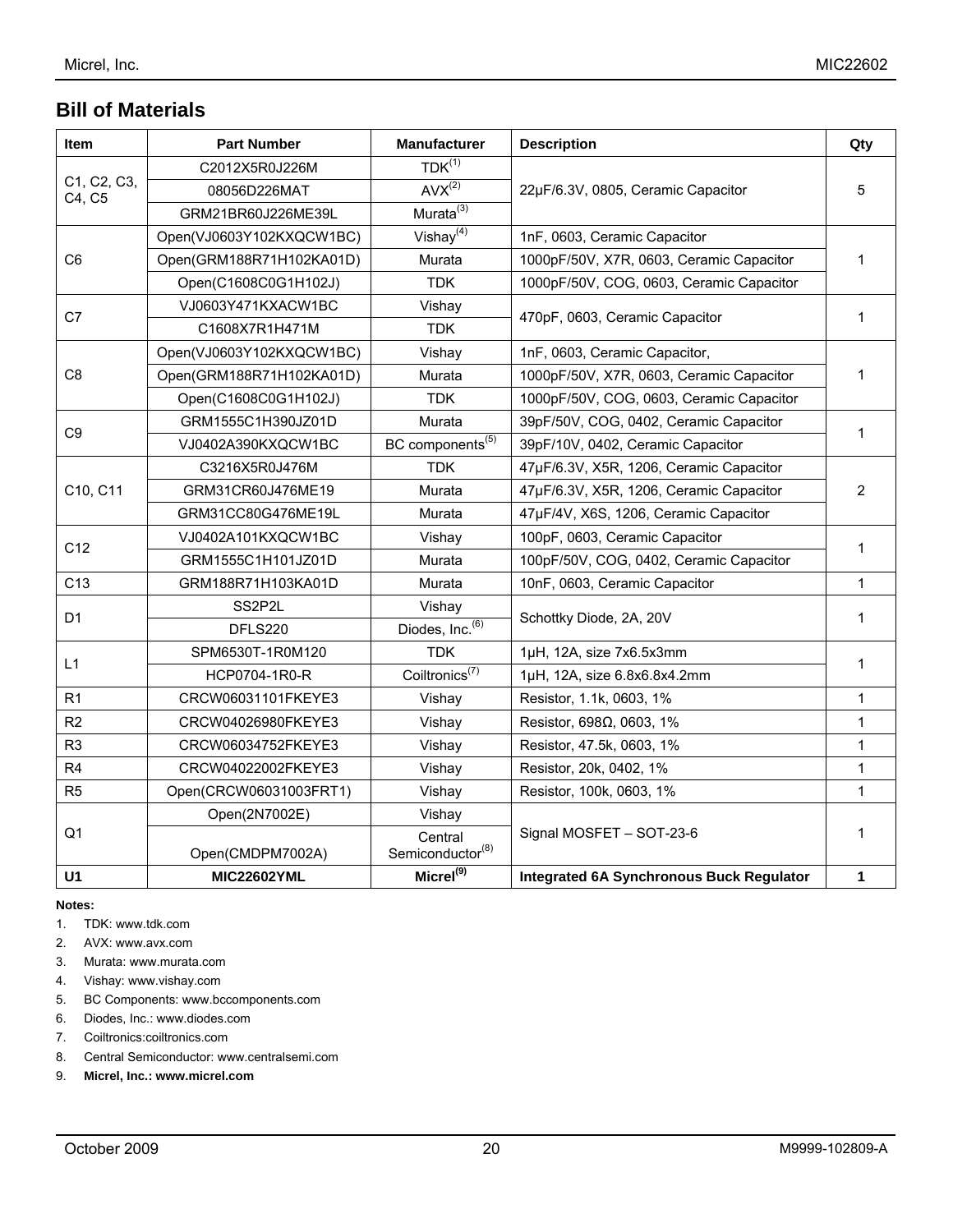## **Bill of Materials**

| Item                  | <b>Part Number</b>               | <b>Manufacturer</b>                     | <b>Description</b>                              | Qty            |  |
|-----------------------|----------------------------------|-----------------------------------------|-------------------------------------------------|----------------|--|
|                       | C2012X5R0J226M                   | $TDK^{(1)}$                             |                                                 | 5              |  |
| C1, C2, C3,<br>C4, C5 | 08056D226MAT                     | $AVX^{(2)}$                             | 22µF/6.3V, 0805, Ceramic Capacitor              |                |  |
|                       | GRM21BR60J226ME39L               | Murata <sup>(3)</sup>                   |                                                 |                |  |
| C <sub>6</sub>        | Open(VJ0603Y102KXQCW1BC)         | Vishay $(4)$                            | 1nF, 0603, Ceramic Capacitor                    |                |  |
|                       | Open(GRM188R71H102KA01D)         | Murata                                  | 1000pF/50V, X7R, 0603, Ceramic Capacitor        | 1              |  |
|                       | Open(C1608C0G1H102J)             | <b>TDK</b>                              | 1000pF/50V, COG, 0603, Ceramic Capacitor        |                |  |
| C7                    | VJ0603Y471KXACW1BC               | Vishay                                  | 470pF, 0603, Ceramic Capacitor                  | $\mathbf{1}$   |  |
|                       | C1608X7R1H471M                   | <b>TDK</b>                              |                                                 |                |  |
|                       | Open(VJ0603Y102KXQCW1BC)         | Vishay                                  | 1nF, 0603, Ceramic Capacitor,                   |                |  |
| C8                    | Open(GRM188R71H102KA01D)         | Murata                                  | 1000pF/50V, X7R, 0603, Ceramic Capacitor        | $\mathbf{1}$   |  |
|                       | Open(C1608C0G1H102J)             | <b>TDK</b>                              | 1000pF/50V, COG, 0603, Ceramic Capacitor        |                |  |
| C <sub>9</sub>        | GRM1555C1H390JZ01D               | Murata                                  | 39pF/50V, COG, 0402, Ceramic Capacitor          | 1              |  |
|                       | VJ0402A390KXQCW1BC               | BC components <sup>(5)</sup>            | 39pF/10V, 0402, Ceramic Capacitor               |                |  |
|                       | C3216X5R0J476M                   | <b>TDK</b>                              | 47µF/6.3V, X5R, 1206, Ceramic Capacitor         | $\overline{2}$ |  |
| C10, C11              | GRM31CR60J476ME19                | Murata                                  | 47µF/6.3V, X5R, 1206, Ceramic Capacitor         |                |  |
|                       | GRM31CC80G476ME19L               | Murata                                  | 47µF/4V, X6S, 1206, Ceramic Capacitor           |                |  |
| C <sub>12</sub>       | VJ0402A101KXQCW1BC               | Vishay                                  | 100pF, 0603, Ceramic Capacitor                  | $\mathbf{1}$   |  |
|                       | GRM1555C1H101JZ01D               | Murata                                  | 100pF/50V, COG, 0402, Ceramic Capacitor         |                |  |
| C <sub>13</sub>       | GRM188R71H103KA01D               | Murata                                  | 10nF, 0603, Ceramic Capacitor                   | $\mathbf{1}$   |  |
| D <sub>1</sub>        | SS <sub>2</sub> P <sub>2</sub> L | Vishay                                  | Schottky Diode, 2A, 20V                         | $\mathbf{1}$   |  |
|                       | DFLS220                          | Diodes, Inc. <sup>(6)</sup>             |                                                 |                |  |
| L1                    | SPM6530T-1R0M120                 | <b>TDK</b>                              | 1µH, 12A, size 7x6.5x3mm                        | $\mathbf{1}$   |  |
|                       | HCP0704-1R0-R                    | Coiltronics <sup><math>(7)</math></sup> | 1µH, 12A, size 6.8x6.8x4.2mm                    |                |  |
| R <sub>1</sub>        | CRCW06031101FKEYE3               | Vishay                                  | Resistor, 1.1k, 0603, 1%                        | $\mathbf{1}$   |  |
| R2                    | CRCW04026980FKEYE3               | Vishay                                  | Resistor, 698 $\Omega$ , 0603, 1%               | 1              |  |
| R <sub>3</sub>        | CRCW06034752FKEYE3               | Vishay                                  | Resistor, 47.5k, 0603, 1%                       | $\mathbf{1}$   |  |
| R4                    | CRCW04022002FKEYE3               | Vishay                                  | Resistor, 20k, 0402, 1%                         | $\mathbf{1}$   |  |
| R <sub>5</sub>        | Open(CRCW06031003FRT1)           | Vishay                                  | Resistor, 100k, 0603, 1%                        | 1              |  |
|                       | Open(2N7002E)                    | Vishay                                  |                                                 | $\mathbf{1}$   |  |
| Q <sub>1</sub>        | Open(CMDPM7002A)                 | Central<br>Semiconductor <sup>(8)</sup> | Signal MOSFET - SOT-23-6                        |                |  |
| U <sub>1</sub>        | <b>MIC22602YML</b>               | Micro <sup>(9)</sup>                    | <b>Integrated 6A Synchronous Buck Regulator</b> | 1              |  |

#### **Notes:**

- 1. TDK: www.tdk.com
- 2. AVX: www.avx.com
- 3. Murata: www.murata.com
- 4. Vishay: www.vishay.com
- 5. BC Components: www.bccomponents.com
- 6. Diodes, Inc.: www.diodes.com
- 7. Coiltronics:coiltronics.com
- 8. Central Semiconductor: www.centralsemi.com
- 9. **Micrel, Inc.: www.micrel.com**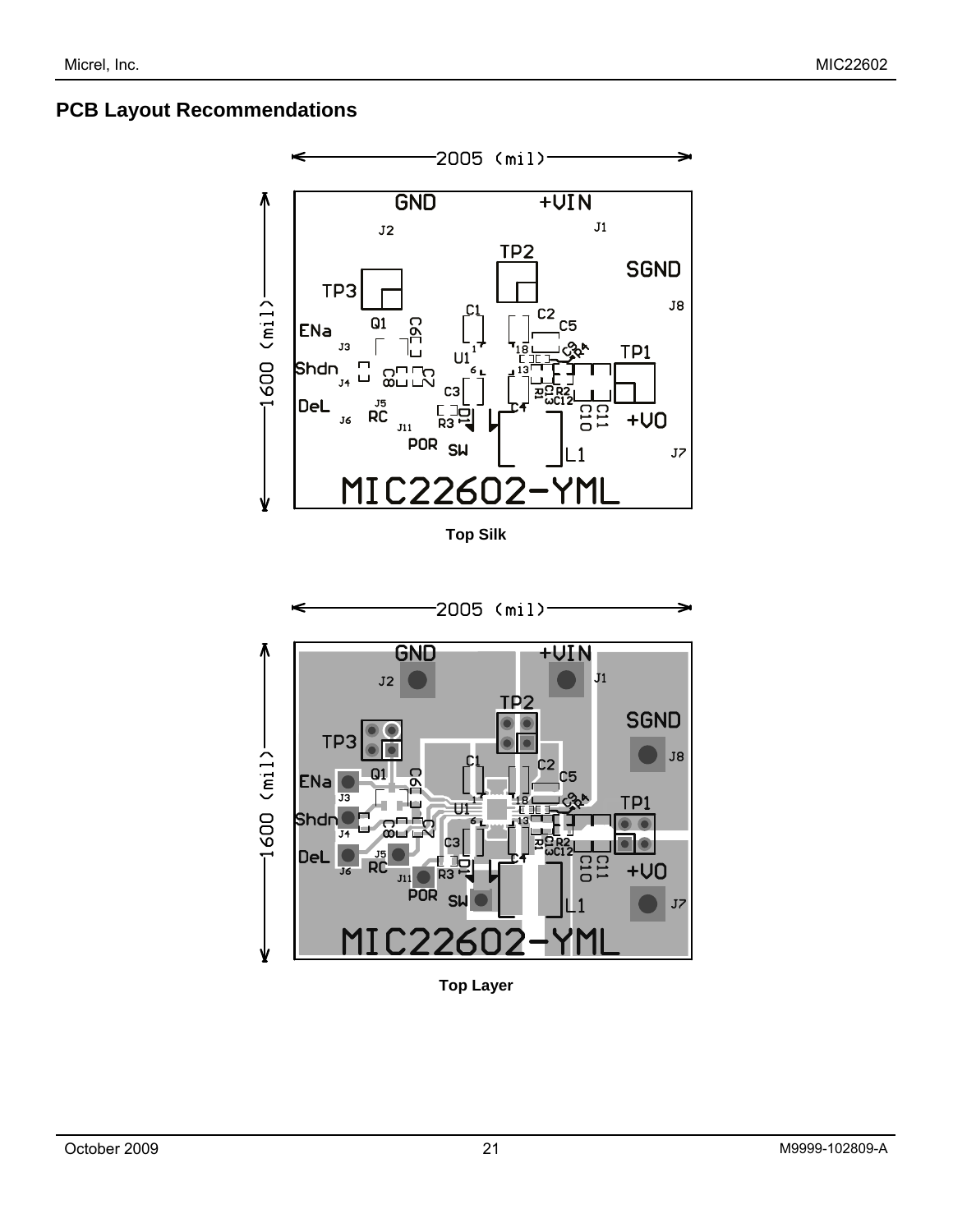## **PCB Layout Recommendations**



**Top Silk** 



**Top Layer**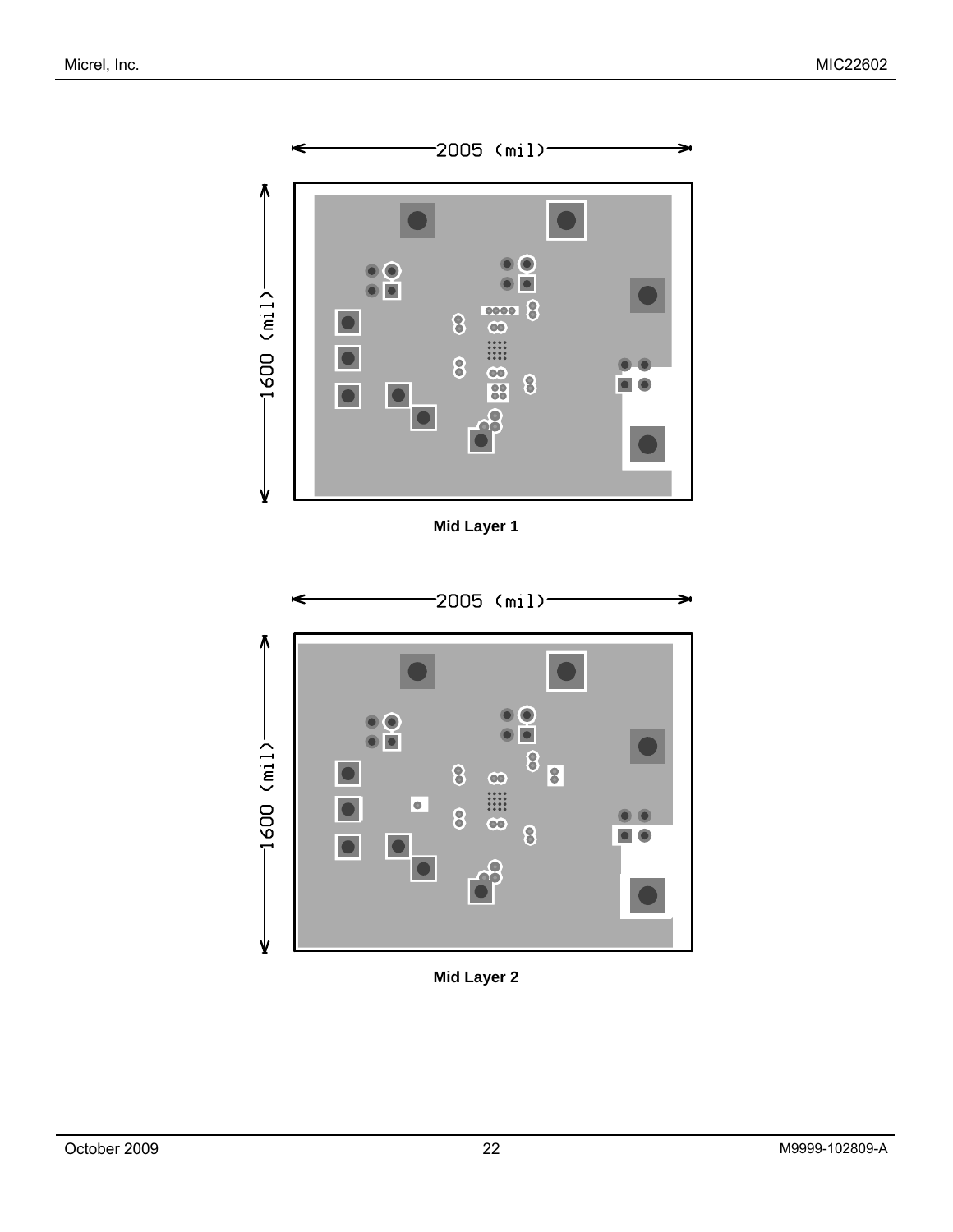

**Mid Layer 1** 



**Mid Layer 2**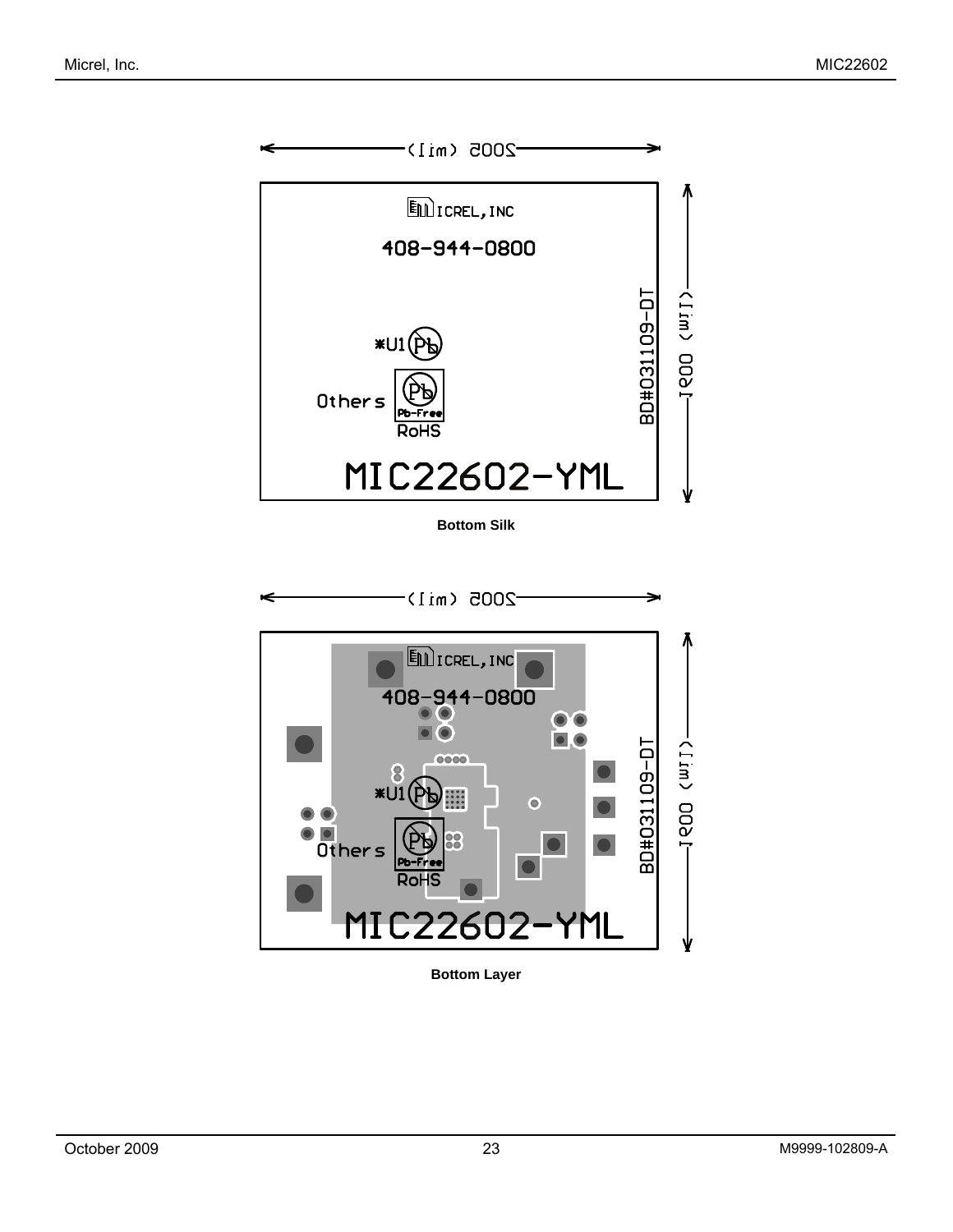

**Bottom Silk** 



**Bottom Layer**